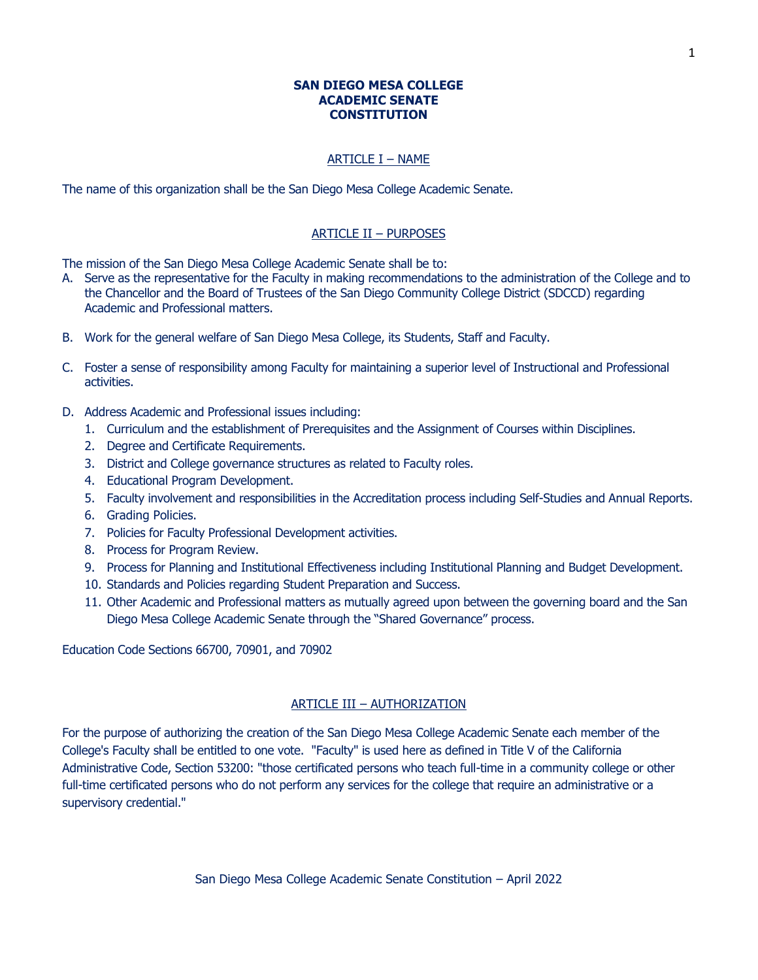#### **SAN DIEGO MESA COLLEGE ACADEMIC SENATE CONSTITUTION**

#### ARTICLE I – NAME

The name of this organization shall be the San Diego Mesa College Academic Senate.

#### ARTICLE II – PURPOSES

The mission of the San Diego Mesa College Academic Senate shall be to:

- A. Serve as the representative for the Faculty in making recommendations to the administration of the College and to the Chancellor and the Board of Trustees of the San Diego Community College District (SDCCD) regarding Academic and Professional matters.
- B. Work for the general welfare of San Diego Mesa College, its Students, Staff and Faculty.
- C. Foster a sense of responsibility among Faculty for maintaining a superior level of Instructional and Professional activities.
- D. Address Academic and Professional issues including:
	- 1. Curriculum and the establishment of Prerequisites and the Assignment of Courses within Disciplines.
	- 2. Degree and Certificate Requirements.
	- 3. District and College governance structures as related to Faculty roles.
	- 4. Educational Program Development.
	- 5. Faculty involvement and responsibilities in the Accreditation process including Self-Studies and Annual Reports.
	- 6. Grading Policies.
	- 7. Policies for Faculty Professional Development activities.
	- 8. Process for Program Review.
	- 9. Process for Planning and Institutional Effectiveness including Institutional Planning and Budget Development.
	- 10. Standards and Policies regarding Student Preparation and Success.
	- 11. Other Academic and Professional matters as mutually agreed upon between the governing board and the San Diego Mesa College Academic Senate through the "Shared Governance" process.

Education Code Sections 66700, 70901, and 70902

### ARTICLE III – AUTHORIZATION

For the purpose of authorizing the creation of the San Diego Mesa College Academic Senate each member of the College's Faculty shall be entitled to one vote. "Faculty" is used here as defined in Title V of the California Administrative Code, Section 53200: "those certificated persons who teach full-time in a community college or other full-time certificated persons who do not perform any services for the college that require an administrative or a supervisory credential."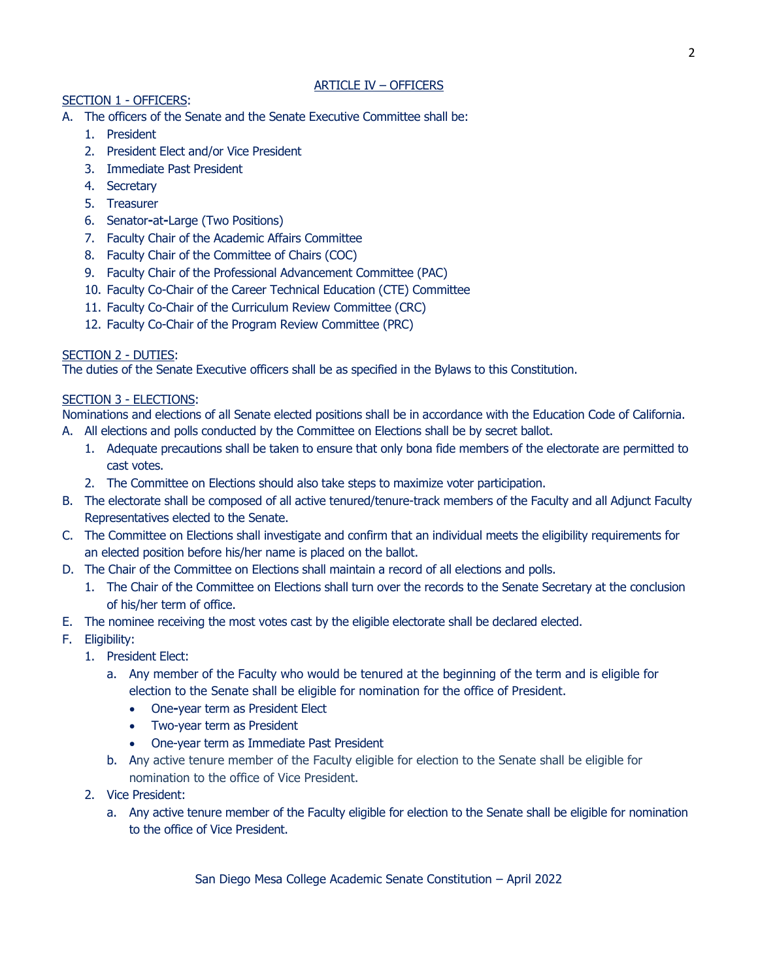#### ARTICLE IV – OFFICERS

### SECTION 1 - OFFICERS:

- A. The officers of the Senate and the Senate Executive Committee shall be:
	- 1. President
	- 2. President Elect and/or Vice President
	- 3. Immediate Past President
	- 4. Secretary
	- 5. Treasurer
	- 6. Senator**-**at**-**Large (Two Positions)
	- 7. Faculty Chair of the Academic Affairs Committee
	- 8. Faculty Chair of the Committee of Chairs (COC)
	- 9. Faculty Chair of the Professional Advancement Committee (PAC)
	- 10. Faculty Co-Chair of the Career Technical Education (CTE) Committee
	- 11. Faculty Co-Chair of the Curriculum Review Committee (CRC)
	- 12. Faculty Co-Chair of the Program Review Committee (PRC)

### SECTION 2 - DUTIES:

The duties of the Senate Executive officers shall be as specified in the Bylaws to this Constitution.

#### SECTION 3 - ELECTIONS:

Nominations and elections of all Senate elected positions shall be in accordance with the Education Code of California.

- A. All elections and polls conducted by the Committee on Elections shall be by secret ballot.
	- 1. Adequate precautions shall be taken to ensure that only bona fide members of the electorate are permitted to cast votes.
	- 2. The Committee on Elections should also take steps to maximize voter participation.
- B. The electorate shall be composed of all active tenured/tenure-track members of the Faculty and all Adjunct Faculty Representatives elected to the Senate.
- C. The Committee on Elections shall investigate and confirm that an individual meets the eligibility requirements for an elected position before his/her name is placed on the ballot.
- D. The Chair of the Committee on Elections shall maintain a record of all elections and polls.
	- 1. The Chair of the Committee on Elections shall turn over the records to the Senate Secretary at the conclusion of his/her term of office.
- E. The nominee receiving the most votes cast by the eligible electorate shall be declared elected.
- F. Eligibility:
	- 1. President Elect:
		- a. Any member of the Faculty who would be tenured at the beginning of the term and is eligible for election to the Senate shall be eligible for nomination for the office of President.
			- One**-**year term as President Elect
			- Two-year term as President
			- One-year term as Immediate Past President
		- b. Any active tenure member of the Faculty eligible for election to the Senate shall be eligible for nomination to the office of Vice President.
	- 2. Vice President:
		- a. Any active tenure member of the Faculty eligible for election to the Senate shall be eligible for nomination to the office of Vice President.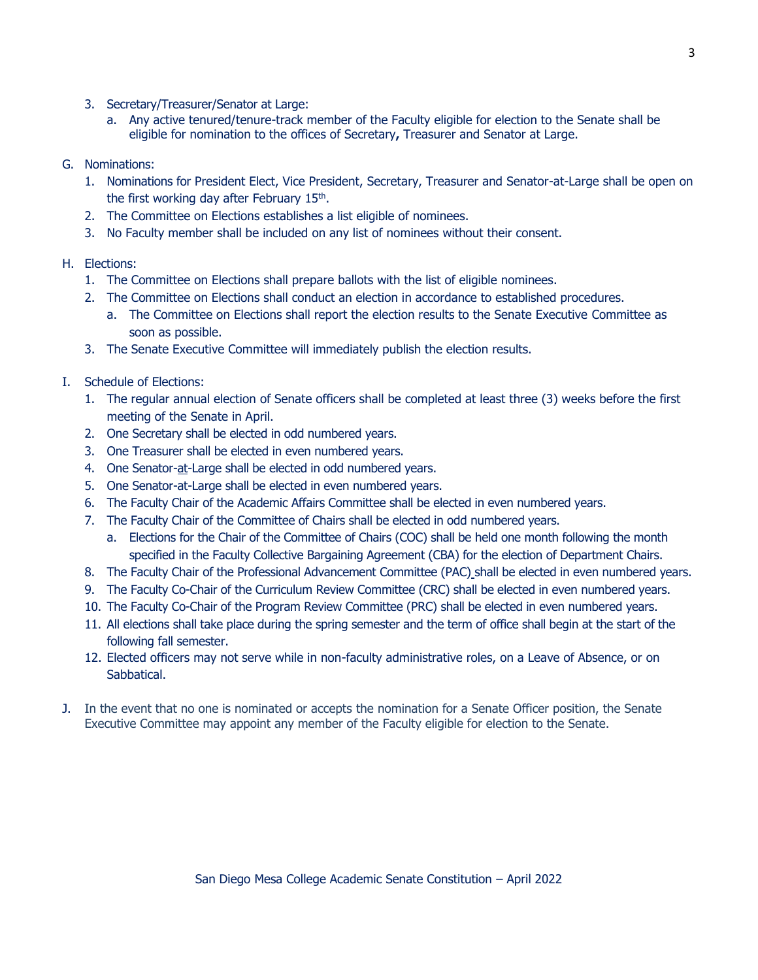- 3. Secretary/Treasurer/Senator at Large:
	- a. Any active tenured/tenure-track member of the Faculty eligible for election to the Senate shall be eligible for nomination to the offices of Secretary**,** Treasurer and Senator at Large.
- G. Nominations:
	- 1. Nominations for President Elect, Vice President, Secretary, Treasurer and Senator-at-Large shall be open on the first working day after February 15<sup>th</sup>.
	- 2. The Committee on Elections establishes a list eligible of nominees.
	- 3. No Faculty member shall be included on any list of nominees without their consent.
- H. Elections:
	- 1. The Committee on Elections shall prepare ballots with the list of eligible nominees.
	- 2. The Committee on Elections shall conduct an election in accordance to established procedures.
		- a. The Committee on Elections shall report the election results to the Senate Executive Committee as soon as possible.
	- 3. The Senate Executive Committee will immediately publish the election results.
- I. Schedule of Elections:
	- 1. The regular annual election of Senate officers shall be completed at least three (3) weeks before the first meeting of the Senate in April.
	- 2. One Secretary shall be elected in odd numbered years.
	- 3. One Treasurer shall be elected in even numbered years.
	- 4. One Senator-at-Large shall be elected in odd numbered years.
	- 5. One Senator-at-Large shall be elected in even numbered years.
	- 6. The Faculty Chair of the Academic Affairs Committee shall be elected in even numbered years.
	- 7. The Faculty Chair of the Committee of Chairs shall be elected in odd numbered years.
		- a. Elections for the Chair of the Committee of Chairs (COC) shall be held one month following the month specified in the Faculty Collective Bargaining Agreement (CBA) for the election of Department Chairs.
	- 8. The Faculty Chair of the Professional Advancement Committee (PAC) shall be elected in even numbered years.
	- 9. The Faculty Co-Chair of the Curriculum Review Committee (CRC) shall be elected in even numbered years.
	- 10. The Faculty Co-Chair of the Program Review Committee (PRC) shall be elected in even numbered years.
	- 11. All elections shall take place during the spring semester and the term of office shall begin at the start of the following fall semester.
	- 12. Elected officers may not serve while in non-faculty administrative roles, on a Leave of Absence, or on Sabbatical.
- J. In the event that no one is nominated or accepts the nomination for a Senate Officer position, the Senate Executive Committee may appoint any member of the Faculty eligible for election to the Senate.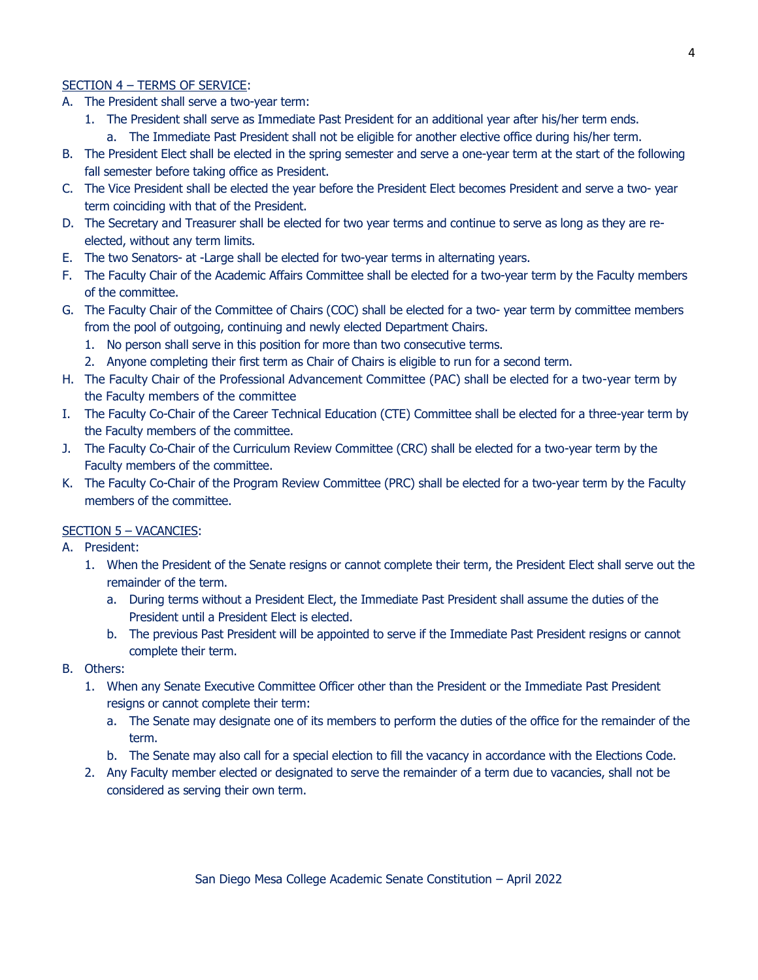#### 4

#### SECTION 4 – TERMS OF SERVICE:

- A. The President shall serve a two-year term:
	- 1. The President shall serve as Immediate Past President for an additional year after his/her term ends. a. The Immediate Past President shall not be eligible for another elective office during his/her term.
- B. The President Elect shall be elected in the spring semester and serve a one-year term at the start of the following fall semester before taking office as President.
- C. The Vice President shall be elected the year before the President Elect becomes President and serve a two- year term coinciding with that of the President.
- D. The Secretary and Treasurer shall be elected for two year terms and continue to serve as long as they are reelected, without any term limits.
- E. The two Senators- at -Large shall be elected for two-year terms in alternating years.
- F. The Faculty Chair of the Academic Affairs Committee shall be elected for a two-year term by the Faculty members of the committee.
- G. The Faculty Chair of the Committee of Chairs (COC) shall be elected for a two- year term by committee members from the pool of outgoing, continuing and newly elected Department Chairs.
	- 1. No person shall serve in this position for more than two consecutive terms.
	- 2. Anyone completing their first term as Chair of Chairs is eligible to run for a second term.
- H. The Faculty Chair of the Professional Advancement Committee (PAC) shall be elected for a two-year term by the Faculty members of the committee
- I. The Faculty Co-Chair of the Career Technical Education (CTE) Committee shall be elected for a three-year term by the Faculty members of the committee.
- J. The Faculty Co-Chair of the Curriculum Review Committee (CRC) shall be elected for a two-year term by the Faculty members of the committee.
- K. The Faculty Co-Chair of the Program Review Committee (PRC) shall be elected for a two-year term by the Faculty members of the committee.

### SECTION 5 – VACANCIES:

- A. President:
	- 1. When the President of the Senate resigns or cannot complete their term, the President Elect shall serve out the remainder of the term.
		- a. During terms without a President Elect, the Immediate Past President shall assume the duties of the President until a President Elect is elected.
		- b. The previous Past President will be appointed to serve if the Immediate Past President resigns or cannot complete their term.
- B. Others:
	- 1. When any Senate Executive Committee Officer other than the President or the Immediate Past President resigns or cannot complete their term:
		- a. The Senate may designate one of its members to perform the duties of the office for the remainder of the term.
		- b. The Senate may also call for a special election to fill the vacancy in accordance with the Elections Code.
	- 2. Any Faculty member elected or designated to serve the remainder of a term due to vacancies, shall not be considered as serving their own term.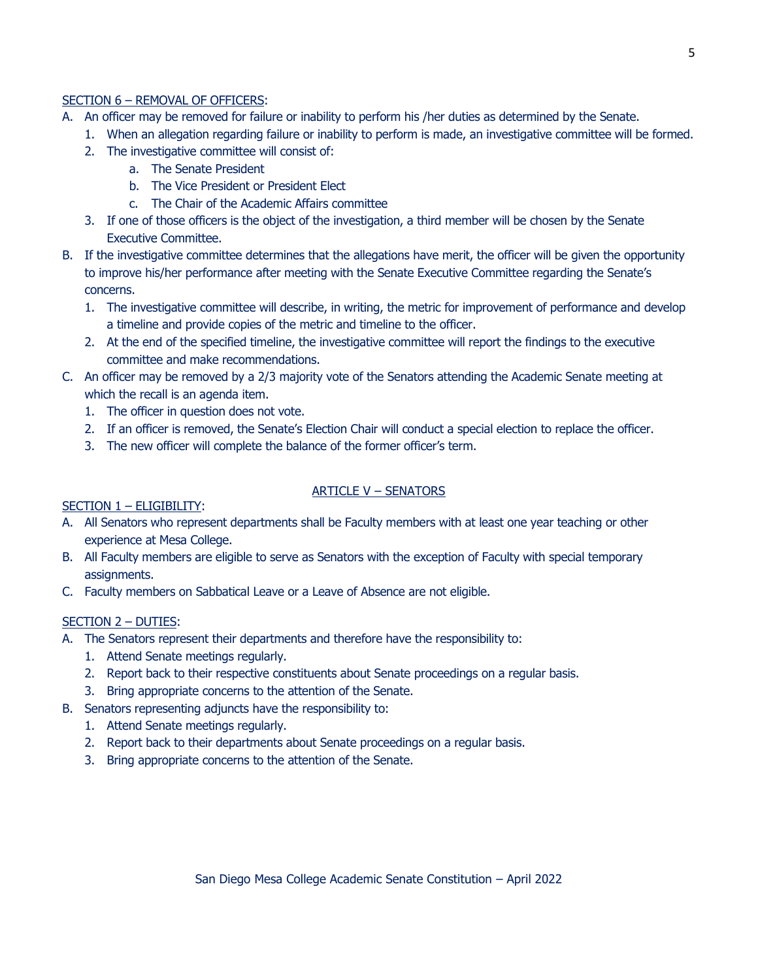### SECTION 6 – REMOVAL OF OFFICERS:

- A. An officer may be removed for failure or inability to perform his /her duties as determined by the Senate.
	- 1. When an allegation regarding failure or inability to perform is made, an investigative committee will be formed.
		- 2. The investigative committee will consist of:
			- a. The Senate President
			- b. The Vice President or President Elect
			- c. The Chair of the Academic Affairs committee
	- 3. If one of those officers is the object of the investigation, a third member will be chosen by the Senate Executive Committee.
- B. If the investigative committee determines that the allegations have merit, the officer will be given the opportunity to improve his/her performance after meeting with the Senate Executive Committee regarding the Senate's concerns.
	- 1. The investigative committee will describe, in writing, the metric for improvement of performance and develop a timeline and provide copies of the metric and timeline to the officer.
	- 2. At the end of the specified timeline, the investigative committee will report the findings to the executive committee and make recommendations.
- C. An officer may be removed by a 2/3 majority vote of the Senators attending the Academic Senate meeting at which the recall is an agenda item.
	- 1. The officer in question does not vote.
	- 2. If an officer is removed, the Senate's Election Chair will conduct a special election to replace the officer.
	- 3. The new officer will complete the balance of the former officer's term.

# ARTICLE V – SENATORS

### SECTION 1 – ELIGIBILITY:

- A. All Senators who represent departments shall be Faculty members with at least one year teaching or other experience at Mesa College.
- B. All Faculty members are eligible to serve as Senators with the exception of Faculty with special temporary assignments.
- C. Faculty members on Sabbatical Leave or a Leave of Absence are not eligible.

### SECTION 2 – DUTIES:

- A. The Senators represent their departments and therefore have the responsibility to:
	- 1. Attend Senate meetings regularly.
	- 2. Report back to their respective constituents about Senate proceedings on a regular basis.
	- 3. Bring appropriate concerns to the attention of the Senate.
- B. Senators representing adjuncts have the responsibility to:
	- 1. Attend Senate meetings regularly.
	- 2. Report back to their departments about Senate proceedings on a regular basis.
	- 3. Bring appropriate concerns to the attention of the Senate.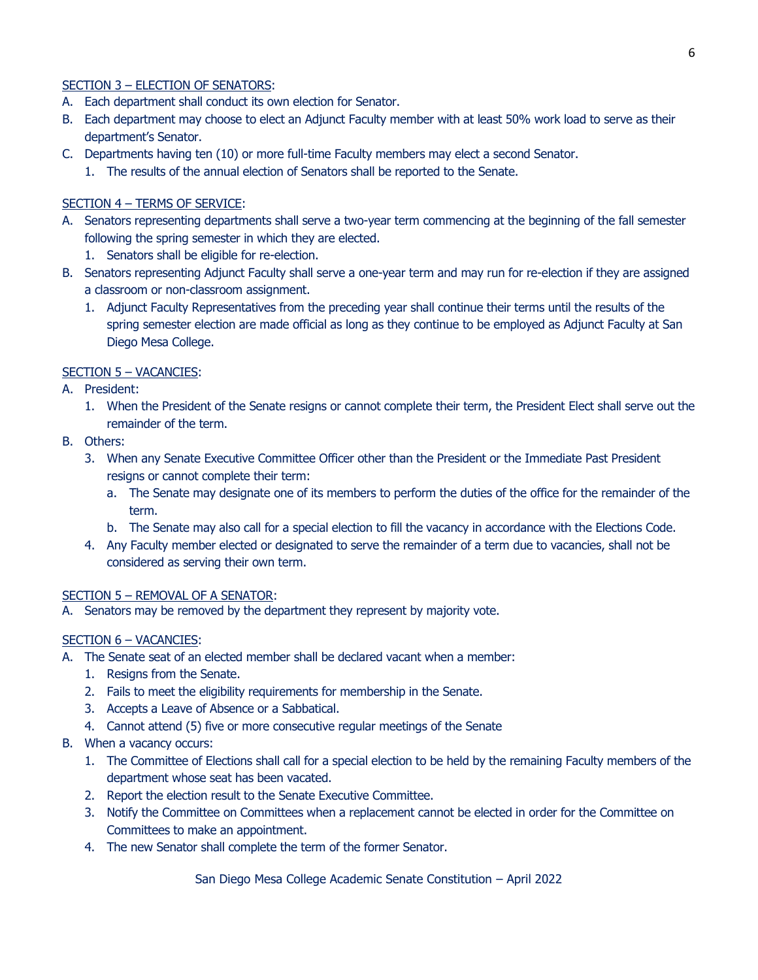### SECTION 3 – ELECTION OF SENATORS:

- A. Each department shall conduct its own election for Senator.
- B. Each department may choose to elect an Adjunct Faculty member with at least 50% work load to serve as their department's Senator.
- C. Departments having ten (10) or more full-time Faculty members may elect a second Senator.
	- 1. The results of the annual election of Senators shall be reported to the Senate.

## SECTION 4 – TERMS OF SERVICE:

- A. Senators representing departments shall serve a two-year term commencing at the beginning of the fall semester following the spring semester in which they are elected.
	- 1. Senators shall be eligible for re-election.
- B. Senators representing Adjunct Faculty shall serve a one-year term and may run for re-election if they are assigned a classroom or non-classroom assignment.
	- 1. Adjunct Faculty Representatives from the preceding year shall continue their terms until the results of the spring semester election are made official as long as they continue to be employed as Adjunct Faculty at San Diego Mesa College.

## SECTION 5 – VACANCIES:

- A. President:
	- 1. When the President of the Senate resigns or cannot complete their term, the President Elect shall serve out the remainder of the term.
- B. Others:
	- 3. When any Senate Executive Committee Officer other than the President or the Immediate Past President resigns or cannot complete their term:
		- a. The Senate may designate one of its members to perform the duties of the office for the remainder of the term.
		- b. The Senate may also call for a special election to fill the vacancy in accordance with the Elections Code.
	- 4. Any Faculty member elected or designated to serve the remainder of a term due to vacancies, shall not be considered as serving their own term.

### SECTION 5 – REMOVAL OF A SENATOR:

A. Senators may be removed by the department they represent by majority vote.

### SECTION 6 – VACANCIES:

- A. The Senate seat of an elected member shall be declared vacant when a member:
	- 1. Resigns from the Senate.
	- 2. Fails to meet the eligibility requirements for membership in the Senate.
	- 3. Accepts a Leave of Absence or a Sabbatical.
	- 4. Cannot attend (5) five or more consecutive regular meetings of the Senate
- B. When a vacancy occurs:
	- 1. The Committee of Elections shall call for a special election to be held by the remaining Faculty members of the department whose seat has been vacated.
	- 2. Report the election result to the Senate Executive Committee.
	- 3. Notify the Committee on Committees when a replacement cannot be elected in order for the Committee on Committees to make an appointment.
	- 4. The new Senator shall complete the term of the former Senator.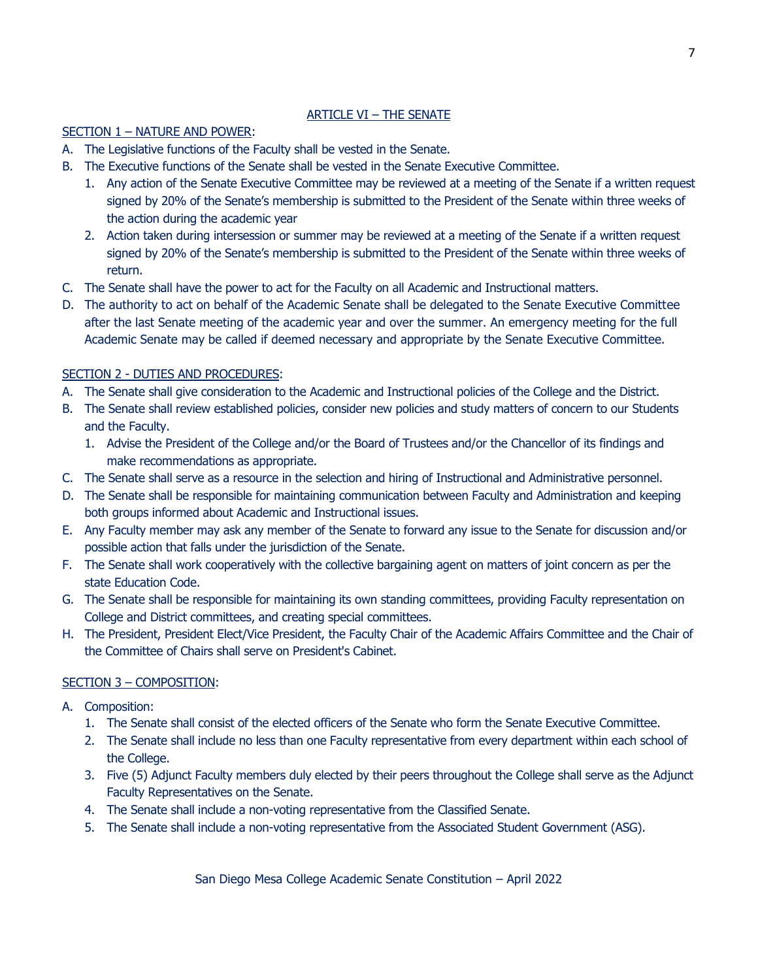# ARTICLE VI – THE SENATE

## SECTION 1 – NATURE AND POWER:

- A. The Legislative functions of the Faculty shall be vested in the Senate.
- B. The Executive functions of the Senate shall be vested in the Senate Executive Committee.
	- 1. Any action of the Senate Executive Committee may be reviewed at a meeting of the Senate if a written request signed by 20% of the Senate's membership is submitted to the President of the Senate within three weeks of the action during the academic year
	- 2. Action taken during intersession or summer may be reviewed at a meeting of the Senate if a written request signed by 20% of the Senate's membership is submitted to the President of the Senate within three weeks of return.
- C. The Senate shall have the power to act for the Faculty on all Academic and Instructional matters.
- D. The authority to act on behalf of the Academic Senate shall be delegated to the Senate Executive Committee after the last Senate meeting of the academic year and over the summer. An emergency meeting for the full Academic Senate may be called if deemed necessary and appropriate by the Senate Executive Committee.

# SECTION 2 - DUTIES AND PROCEDURES:

- A. The Senate shall give consideration to the Academic and Instructional policies of the College and the District.
- B. The Senate shall review established policies, consider new policies and study matters of concern to our Students and the Faculty.
	- 1. Advise the President of the College and/or the Board of Trustees and/or the Chancellor of its findings and make recommendations as appropriate.
- C. The Senate shall serve as a resource in the selection and hiring of Instructional and Administrative personnel.
- D. The Senate shall be responsible for maintaining communication between Faculty and Administration and keeping both groups informed about Academic and Instructional issues.
- E. Any Faculty member may ask any member of the Senate to forward any issue to the Senate for discussion and/or possible action that falls under the jurisdiction of the Senate.
- F. The Senate shall work cooperatively with the collective bargaining agent on matters of joint concern as per the state Education Code.
- G. The Senate shall be responsible for maintaining its own standing committees, providing Faculty representation on College and District committees, and creating special committees.
- H. The President, President Elect/Vice President, the Faculty Chair of the Academic Affairs Committee and the Chair of the Committee of Chairs shall serve on President's Cabinet.

# SECTION 3 – COMPOSITION:

- A. Composition:
	- 1. The Senate shall consist of the elected officers of the Senate who form the Senate Executive Committee.
	- 2. The Senate shall include no less than one Faculty representative from every department within each school of the College.
	- 3. Five (5) Adjunct Faculty members duly elected by their peers throughout the College shall serve as the Adjunct Faculty Representatives on the Senate.
	- 4. The Senate shall include a non-voting representative from the Classified Senate.
	- 5. The Senate shall include a non-voting representative from the Associated Student Government (ASG).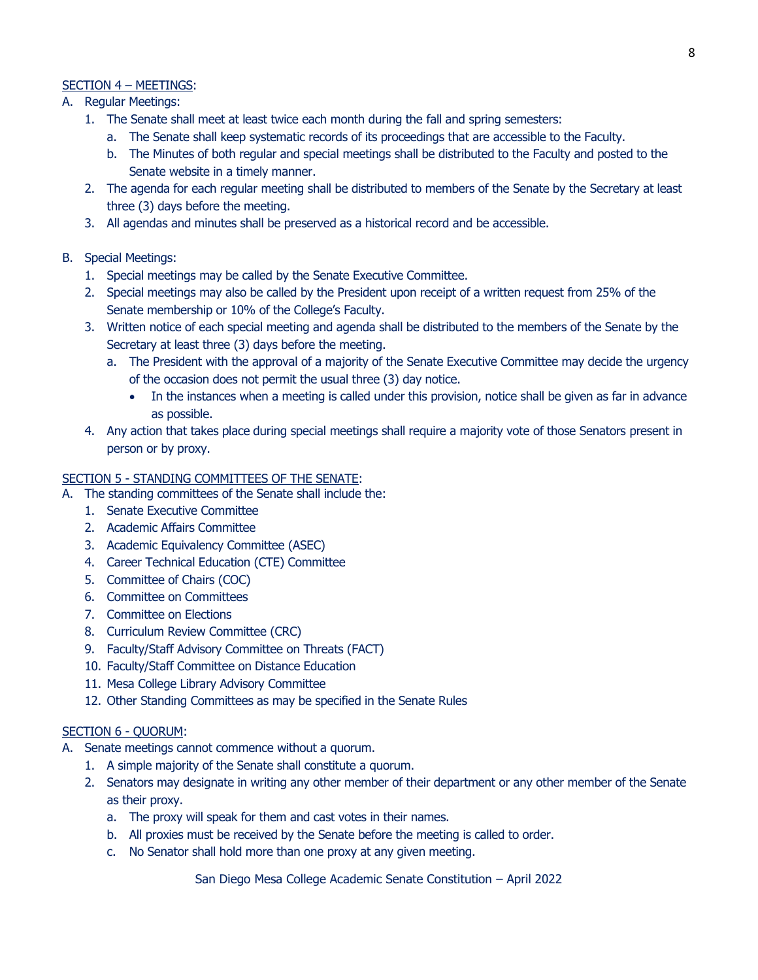# SECTION 4 – MEETINGS:

- A. Regular Meetings:
	- 1. The Senate shall meet at least twice each month during the fall and spring semesters:
		- a. The Senate shall keep systematic records of its proceedings that are accessible to the Faculty.
		- b. The Minutes of both regular and special meetings shall be distributed to the Faculty and posted to the Senate website in a timely manner.
	- 2. The agenda for each regular meeting shall be distributed to members of the Senate by the Secretary at least three (3) days before the meeting.
	- 3. All agendas and minutes shall be preserved as a historical record and be accessible.
- B. Special Meetings:
	- 1. Special meetings may be called by the Senate Executive Committee.
	- 2. Special meetings may also be called by the President upon receipt of a written request from 25% of the Senate membership or 10% of the College's Faculty.
	- 3. Written notice of each special meeting and agenda shall be distributed to the members of the Senate by the Secretary at least three (3) days before the meeting.
		- a. The President with the approval of a majority of the Senate Executive Committee may decide the urgency of the occasion does not permit the usual three (3) day notice.
			- In the instances when a meeting is called under this provision, notice shall be given as far in advance as possible.
	- 4. Any action that takes place during special meetings shall require a majority vote of those Senators present in person or by proxy.

### SECTION 5 - STANDING COMMITTEES OF THE SENATE:

- A. The standing committees of the Senate shall include the:
	- 1. Senate Executive Committee
	- 2. Academic Affairs Committee
	- 3. Academic Equivalency Committee (ASEC)
	- 4. Career Technical Education (CTE) Committee
	- 5. Committee of Chairs (COC)
	- 6. Committee on Committees
	- 7. Committee on Elections
	- 8. Curriculum Review Committee (CRC)
	- 9. Faculty/Staff Advisory Committee on Threats (FACT)
	- 10. Faculty/Staff Committee on Distance Education
	- 11. Mesa College Library Advisory Committee
	- 12. Other Standing Committees as may be specified in the Senate Rules

### SECTION 6 - QUORUM:

- A. Senate meetings cannot commence without a quorum.
	- 1. A simple majority of the Senate shall constitute a quorum.
	- 2. Senators may designate in writing any other member of their department or any other member of the Senate as their proxy.
		- a. The proxy will speak for them and cast votes in their names.
		- b. All proxies must be received by the Senate before the meeting is called to order.
		- c. No Senator shall hold more than one proxy at any given meeting.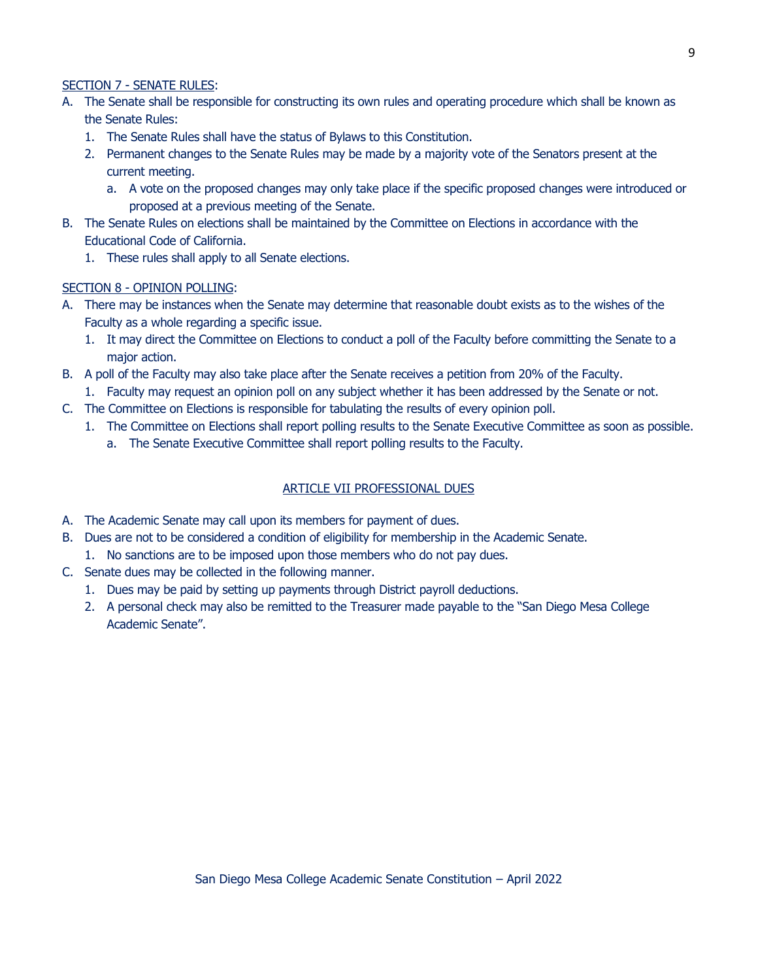#### SECTION 7 - SENATE RULES:

- A. The Senate shall be responsible for constructing its own rules and operating procedure which shall be known as the Senate Rules:
	- 1. The Senate Rules shall have the status of Bylaws to this Constitution.
	- 2. Permanent changes to the Senate Rules may be made by a majority vote of the Senators present at the current meeting.
		- a. A vote on the proposed changes may only take place if the specific proposed changes were introduced or proposed at a previous meeting of the Senate.
- B. The Senate Rules on elections shall be maintained by the Committee on Elections in accordance with the Educational Code of California.
	- 1. These rules shall apply to all Senate elections.

#### SECTION 8 - OPINION POLLING:

- A. There may be instances when the Senate may determine that reasonable doubt exists as to the wishes of the Faculty as a whole regarding a specific issue.
	- 1. It may direct the Committee on Elections to conduct a poll of the Faculty before committing the Senate to a major action.
- B. A poll of the Faculty may also take place after the Senate receives a petition from 20% of the Faculty.
	- 1. Faculty may request an opinion poll on any subject whether it has been addressed by the Senate or not.
- C. The Committee on Elections is responsible for tabulating the results of every opinion poll.
	- 1. The Committee on Elections shall report polling results to the Senate Executive Committee as soon as possible. a. The Senate Executive Committee shall report polling results to the Faculty.

#### ARTICLE VII PROFESSIONAL DUES

- A. The Academic Senate may call upon its members for payment of dues.
- B. Dues are not to be considered a condition of eligibility for membership in the Academic Senate.
	- 1. No sanctions are to be imposed upon those members who do not pay dues.
- C. Senate dues may be collected in the following manner.
	- 1. Dues may be paid by setting up payments through District payroll deductions.
	- 2. A personal check may also be remitted to the Treasurer made payable to the "San Diego Mesa College Academic Senate".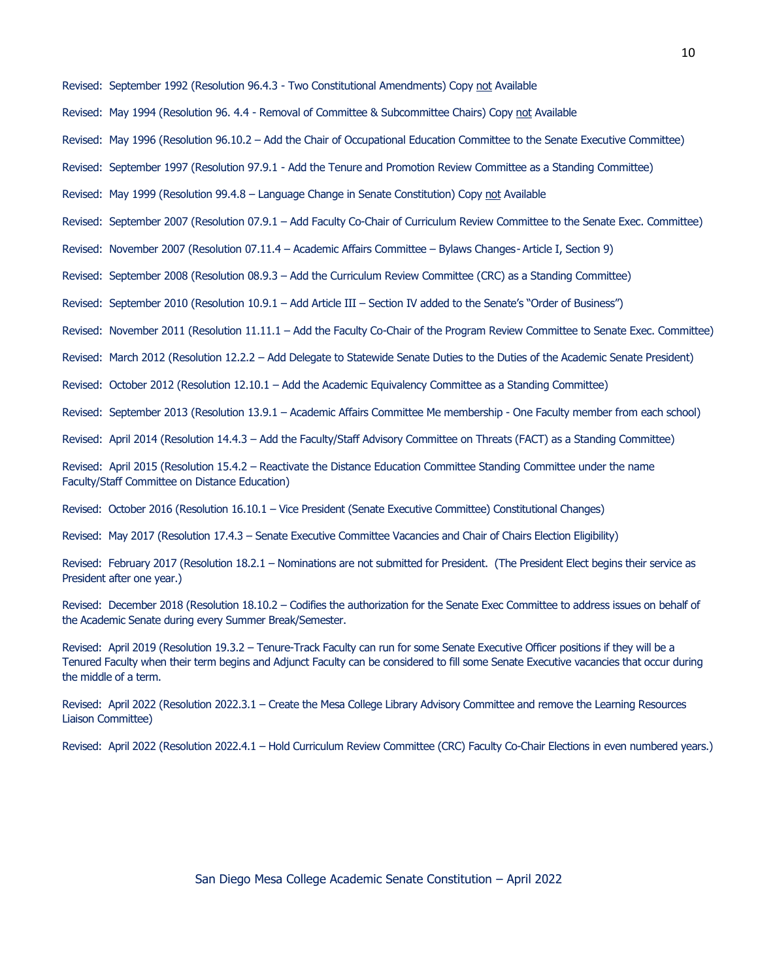Revised: September 1992 (Resolution 96.4.3 - Two Constitutional Amendments) Copy not Available

- Revised: May 1994 (Resolution 96. 4.4 Removal of Committee & Subcommittee Chairs) Copy not Available
- Revised: May 1996 (Resolution 96.10.2 Add the Chair of Occupational Education Committee to the Senate Executive Committee)
- Revised: September 1997 (Resolution 97.9.1 Add the Tenure and Promotion Review Committee as a Standing Committee)
- Revised: May 1999 (Resolution 99.4.8 Language Change in Senate Constitution) Copy not Available
- Revised: September 2007 (Resolution 07.9.1 Add Faculty Co-Chair of Curriculum Review Committee to the Senate Exec. Committee)
- Revised: November 2007 (Resolution 07.11.4 Academic Affairs Committee Bylaws Changes- Article I, Section 9)
- Revised: September 2008 (Resolution 08.9.3 Add the Curriculum Review Committee (CRC) as a Standing Committee)
- Revised: September 2010 (Resolution 10.9.1 Add Article III Section IV added to the Senate's "Order of Business")
- Revised: November 2011 (Resolution 11.11.1 Add the Faculty Co-Chair of the Program Review Committee to Senate Exec. Committee)
- Revised: March 2012 (Resolution 12.2.2 Add Delegate to Statewide Senate Duties to the Duties of the Academic Senate President)
- Revised: October 2012 (Resolution 12.10.1 Add the Academic Equivalency Committee as a Standing Committee)
- Revised: September 2013 (Resolution 13.9.1 Academic Affairs Committee Me membership One Faculty member from each school)
- Revised: April 2014 (Resolution 14.4.3 Add the Faculty/Staff Advisory Committee on Threats (FACT) as a Standing Committee)

Revised: April 2015 (Resolution 15.4.2 – Reactivate the Distance Education Committee Standing Committee under the name Faculty/Staff Committee on Distance Education)

Revised: October 2016 (Resolution 16.10.1 – Vice President (Senate Executive Committee) Constitutional Changes)

Revised: May 2017 (Resolution 17.4.3 – Senate Executive Committee Vacancies and Chair of Chairs Election Eligibility)

Revised: February 2017 (Resolution 18.2.1 – Nominations are not submitted for President. (The President Elect begins their service as President after one year.)

Revised: December 2018 (Resolution 18.10.2 – Codifies the authorization for the Senate Exec Committee to address issues on behalf of the Academic Senate during every Summer Break/Semester.

Revised: April 2019 (Resolution 19.3.2 – Tenure-Track Faculty can run for some Senate Executive Officer positions if they will be a Tenured Faculty when their term begins and Adjunct Faculty can be considered to fill some Senate Executive vacancies that occur during the middle of a term.

Revised: April 2022 (Resolution 2022.3.1 – Create the Mesa College Library Advisory Committee and remove the Learning Resources Liaison Committee)

Revised: April 2022 (Resolution 2022.4.1 – Hold Curriculum Review Committee (CRC) Faculty Co-Chair Elections in even numbered years.)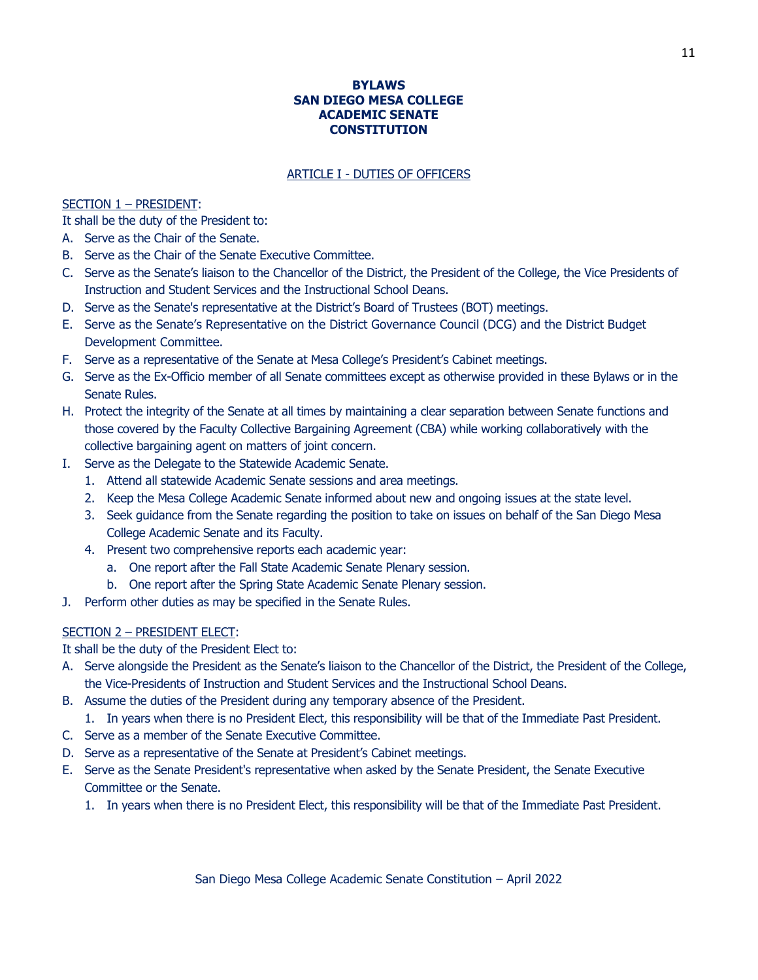### **BYLAWS SAN DIEGO MESA COLLEGE ACADEMIC SENATE CONSTITUTION**

### ARTICLE I - DUTIES OF OFFICERS

### SECTION 1 – PRESIDENT:

It shall be the duty of the President to:

- A. Serve as the Chair of the Senate.
- B. Serve as the Chair of the Senate Executive Committee.
- C. Serve as the Senate's liaison to the Chancellor of the District, the President of the College, the Vice Presidents of Instruction and Student Services and the Instructional School Deans.
- D. Serve as the Senate's representative at the District's Board of Trustees (BOT) meetings.
- E. Serve as the Senate's Representative on the District Governance Council (DCG) and the District Budget Development Committee.
- F. Serve as a representative of the Senate at Mesa College's President's Cabinet meetings.
- G. Serve as the Ex-Officio member of all Senate committees except as otherwise provided in these Bylaws or in the Senate Rules.
- H. Protect the integrity of the Senate at all times by maintaining a clear separation between Senate functions and those covered by the Faculty Collective Bargaining Agreement (CBA) while working collaboratively with the collective bargaining agent on matters of joint concern.
- I. Serve as the Delegate to the Statewide Academic Senate.
	- 1. Attend all statewide Academic Senate sessions and area meetings.
	- 2. Keep the Mesa College Academic Senate informed about new and ongoing issues at the state level.
	- 3. Seek guidance from the Senate regarding the position to take on issues on behalf of the San Diego Mesa College Academic Senate and its Faculty.
	- 4. Present two comprehensive reports each academic year:
		- a. One report after the Fall State Academic Senate Plenary session.
			- b. One report after the Spring State Academic Senate Plenary session.
- J. Perform other duties as may be specified in the Senate Rules.

# SECTION 2 – PRESIDENT ELECT:

It shall be the duty of the President Elect to:

- A. Serve alongside the President as the Senate's liaison to the Chancellor of the District, the President of the College, the Vice-Presidents of Instruction and Student Services and the Instructional School Deans.
- B. Assume the duties of the President during any temporary absence of the President.
	- 1. In years when there is no President Elect, this responsibility will be that of the Immediate Past President.
- C. Serve as a member of the Senate Executive Committee.
- D. Serve as a representative of the Senate at President's Cabinet meetings.
- E. Serve as the Senate President's representative when asked by the Senate President, the Senate Executive Committee or the Senate.
	- 1. In years when there is no President Elect, this responsibility will be that of the Immediate Past President.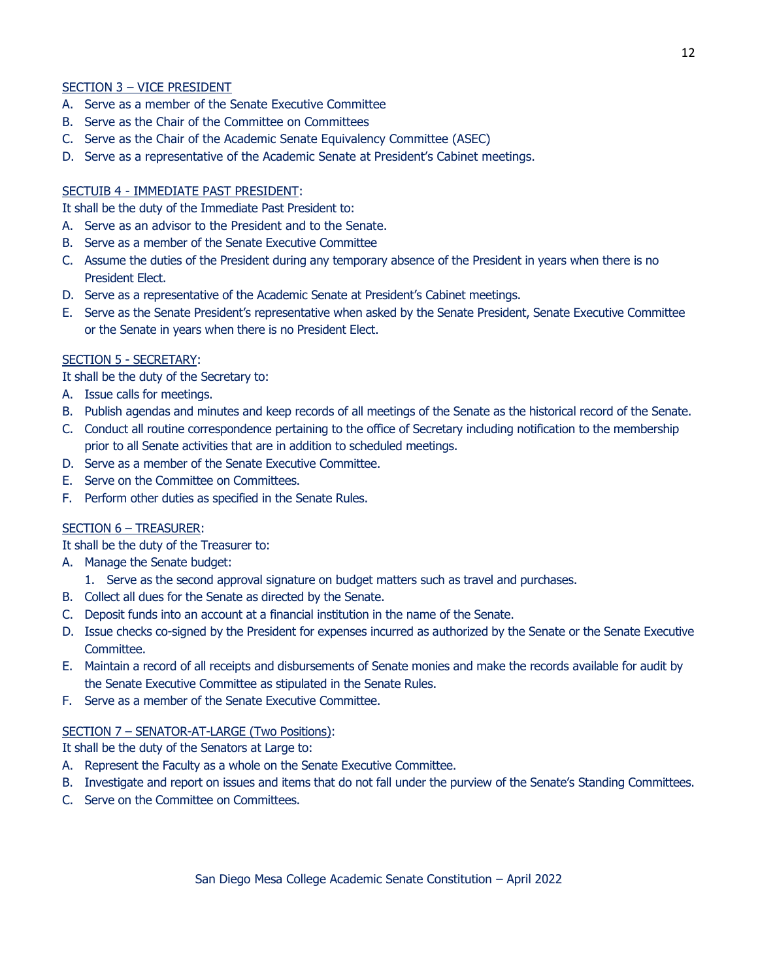### SECTION 3 – VICE PRESIDENT

- A. Serve as a member of the Senate Executive Committee
- B. Serve as the Chair of the Committee on Committees
- C. Serve as the Chair of the Academic Senate Equivalency Committee (ASEC)
- D. Serve as a representative of the Academic Senate at President's Cabinet meetings.

## SECTUIB 4 - IMMEDIATE PAST PRESIDENT:

It shall be the duty of the Immediate Past President to:

- A. Serve as an advisor to the President and to the Senate.
- B. Serve as a member of the Senate Executive Committee
- C. Assume the duties of the President during any temporary absence of the President in years when there is no President Elect.
- D. Serve as a representative of the Academic Senate at President's Cabinet meetings.
- E. Serve as the Senate President's representative when asked by the Senate President, Senate Executive Committee or the Senate in years when there is no President Elect.

## SECTION 5 - SECRETARY:

It shall be the duty of the Secretary to:

- A. Issue calls for meetings.
- B. Publish agendas and minutes and keep records of all meetings of the Senate as the historical record of the Senate.
- C. Conduct all routine correspondence pertaining to the office of Secretary including notification to the membership prior to all Senate activities that are in addition to scheduled meetings.
- D. Serve as a member of the Senate Executive Committee.
- E. Serve on the Committee on Committees.
- F. Perform other duties as specified in the Senate Rules.

### SECTION 6 – TREASURER:

It shall be the duty of the Treasurer to:

- A. Manage the Senate budget:
	- 1. Serve as the second approval signature on budget matters such as travel and purchases.
- B. Collect all dues for the Senate as directed by the Senate.
- C. Deposit funds into an account at a financial institution in the name of the Senate.
- D. Issue checks co-signed by the President for expenses incurred as authorized by the Senate or the Senate Executive Committee.
- E. Maintain a record of all receipts and disbursements of Senate monies and make the records available for audit by the Senate Executive Committee as stipulated in the Senate Rules.
- F. Serve as a member of the Senate Executive Committee.

### SECTION 7 – SENATOR-AT-LARGE (Two Positions):

It shall be the duty of the Senators at Large to:

- A. Represent the Faculty as a whole on the Senate Executive Committee.
- B. Investigate and report on issues and items that do not fall under the purview of the Senate's Standing Committees.
- C. Serve on the Committee on Committees.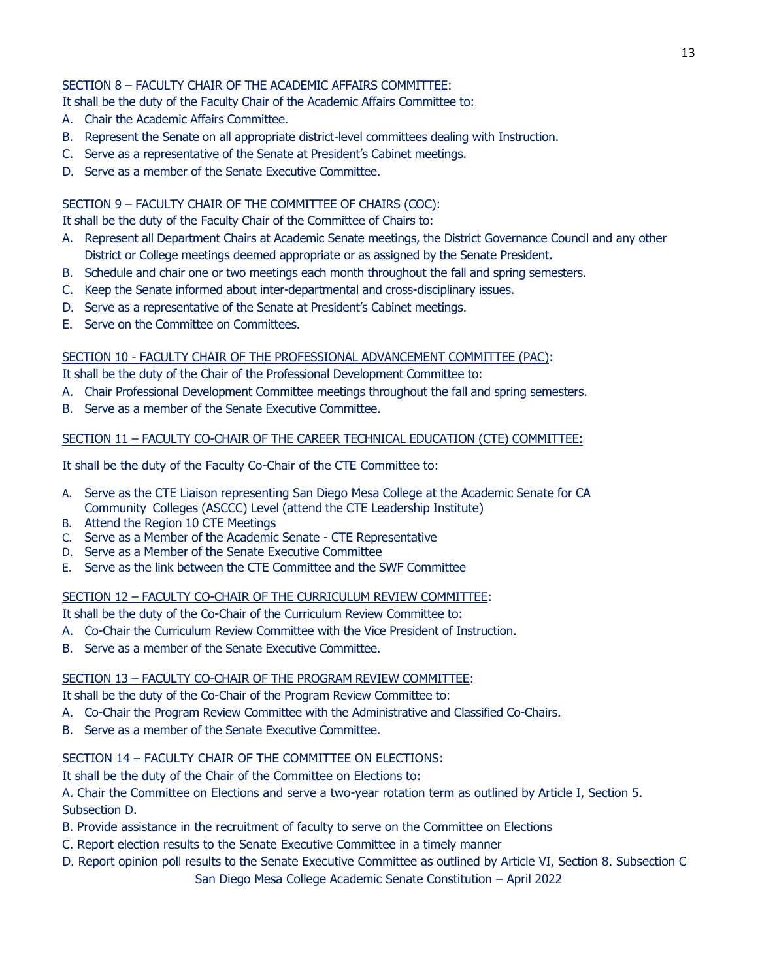## SECTION 8 – FACULTY CHAIR OF THE ACADEMIC AFFAIRS COMMITTEE:

It shall be the duty of the Faculty Chair of the Academic Affairs Committee to:

- A. Chair the Academic Affairs Committee.
- B. Represent the Senate on all appropriate district-level committees dealing with Instruction.
- C. Serve as a representative of the Senate at President's Cabinet meetings.
- D. Serve as a member of the Senate Executive Committee.

# SECTION 9 – FACULTY CHAIR OF THE COMMITTEE OF CHAIRS (COC):

It shall be the duty of the Faculty Chair of the Committee of Chairs to:

- A. Represent all Department Chairs at Academic Senate meetings, the District Governance Council and any other District or College meetings deemed appropriate or as assigned by the Senate President.
- B. Schedule and chair one or two meetings each month throughout the fall and spring semesters.
- C. Keep the Senate informed about inter-departmental and cross-disciplinary issues.
- D. Serve as a representative of the Senate at President's Cabinet meetings.
- E. Serve on the Committee on Committees.

## SECTION 10 - FACULTY CHAIR OF THE PROFESSIONAL ADVANCEMENT COMMITTEE (PAC):

It shall be the duty of the Chair of the Professional Development Committee to:

- A. Chair Professional Development Committee meetings throughout the fall and spring semesters.
- B. Serve as a member of the Senate Executive Committee.

# SECTION 11 – FACULTY CO-CHAIR OF THE CAREER TECHNICAL EDUCATION (CTE) COMMITTEE:

It shall be the duty of the Faculty Co-Chair of the CTE Committee to:

- A. Serve as the CTE Liaison representing San Diego Mesa College at the Academic Senate for CA Community Colleges (ASCCC) Level (attend the CTE Leadership Institute)
- B. Attend the Region 10 CTE Meetings
- C. Serve as a Member of the Academic Senate CTE Representative
- D. Serve as a Member of the Senate Executive Committee
- E. Serve as the link between the CTE Committee and the SWF Committee

### SECTION 12 – FACULTY CO-CHAIR OF THE CURRICULUM REVIEW COMMITTEE:

It shall be the duty of the Co-Chair of the Curriculum Review Committee to:

- A. Co-Chair the Curriculum Review Committee with the Vice President of Instruction.
- B. Serve as a member of the Senate Executive Committee.

### SECTION 13 – FACULTY CO-CHAIR OF THE PROGRAM REVIEW COMMITTEE:

It shall be the duty of the Co-Chair of the Program Review Committee to:

- A. Co-Chair the Program Review Committee with the Administrative and Classified Co-Chairs.
- B. Serve as a member of the Senate Executive Committee.

# SECTION 14 – FACULTY CHAIR OF THE COMMITTEE ON ELECTIONS:

It shall be the duty of the Chair of the Committee on Elections to:

A. Chair the Committee on Elections and serve a two-year rotation term as outlined by Article I, Section 5. Subsection D.

- B. Provide assistance in the recruitment of faculty to serve on the Committee on Elections
- C. Report election results to the Senate Executive Committee in a timely manner
- San Diego Mesa College Academic Senate Constitution April 2022 D. Report opinion poll results to the Senate Executive Committee as outlined by Article VI, Section 8. Subsection C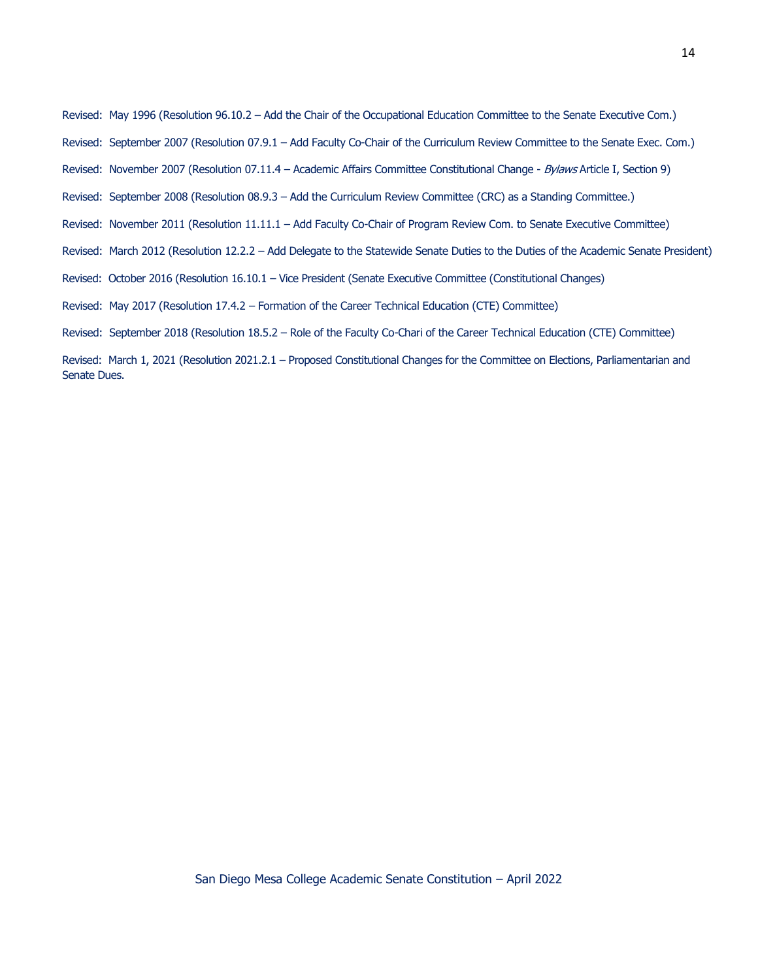Revised: May 1996 (Resolution 96.10.2 – Add the Chair of the Occupational Education Committee to the Senate Executive Com.)

- Revised: September 2007 (Resolution 07.9.1 Add Faculty Co-Chair of the Curriculum Review Committee to the Senate Exec. Com.)
- Revised: November 2007 (Resolution 07.11.4 Academic Affairs Committee Constitutional Change Bylaws Article I, Section 9)
- Revised: September 2008 (Resolution 08.9.3 Add the Curriculum Review Committee (CRC) as a Standing Committee.)
- Revised: November 2011 (Resolution 11.11.1 Add Faculty Co-Chair of Program Review Com. to Senate Executive Committee)
- Revised: March 2012 (Resolution 12.2.2 Add Delegate to the Statewide Senate Duties to the Duties of the Academic Senate President)
- Revised: October 2016 (Resolution 16.10.1 Vice President (Senate Executive Committee (Constitutional Changes)
- Revised: May 2017 (Resolution 17.4.2 Formation of the Career Technical Education (CTE) Committee)
- Revised: September 2018 (Resolution 18.5.2 Role of the Faculty Co-Chari of the Career Technical Education (CTE) Committee)
- Revised: March 1, 2021 (Resolution 2021.2.1 Proposed Constitutional Changes for the Committee on Elections, Parliamentarian and Senate Dues.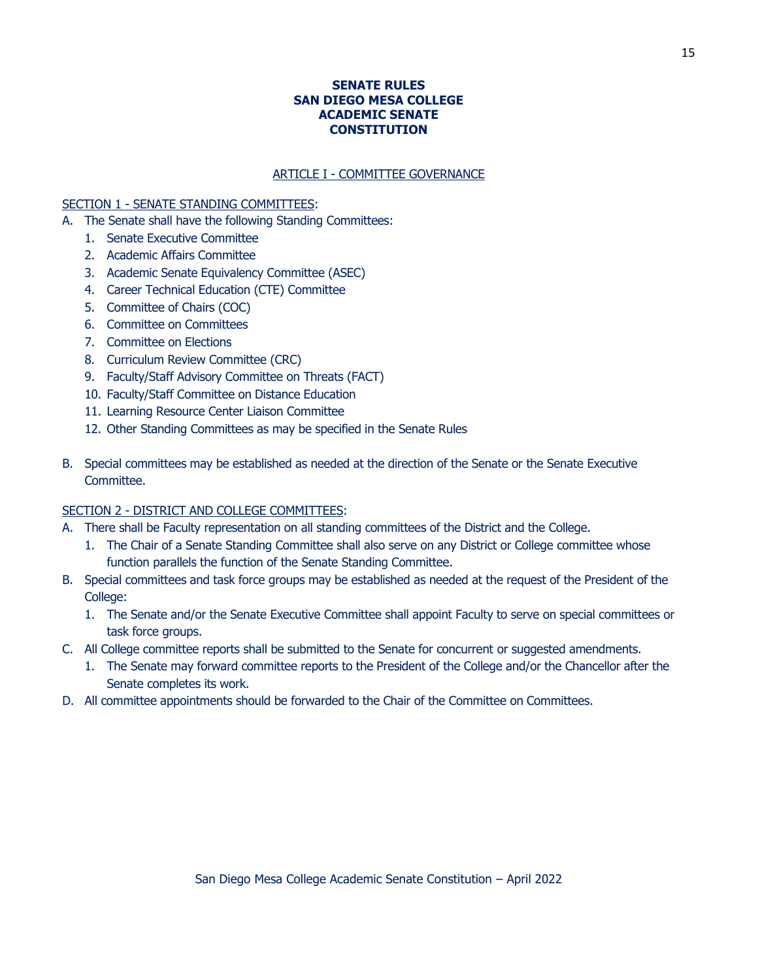#### **SENATE RULES SAN DIEGO MESA COLLEGE ACADEMIC SENATE CONSTITUTION**

#### ARTICLE I - COMMITTEE GOVERNANCE

#### SECTION 1 - SENATE STANDING COMMITTEES:

- A. The Senate shall have the following Standing Committees:
	- 1. Senate Executive Committee
	- 2. Academic Affairs Committee
	- 3. Academic Senate Equivalency Committee (ASEC)
	- 4. Career Technical Education (CTE) Committee
	- 5. Committee of Chairs (COC)
	- 6. Committee on Committees
	- 7. Committee on Elections
	- 8. Curriculum Review Committee (CRC)
	- 9. Faculty/Staff Advisory Committee on Threats (FACT)
	- 10. Faculty/Staff Committee on Distance Education
	- 11. Learning Resource Center Liaison Committee
	- 12. Other Standing Committees as may be specified in the Senate Rules
- B. Special committees may be established as needed at the direction of the Senate or the Senate Executive Committee.

#### SECTION 2 - DISTRICT AND COLLEGE COMMITTEES:

- A. There shall be Faculty representation on all standing committees of the District and the College.
	- 1. The Chair of a Senate Standing Committee shall also serve on any District or College committee whose function parallels the function of the Senate Standing Committee.
- B. Special committees and task force groups may be established as needed at the request of the President of the College:
	- 1. The Senate and/or the Senate Executive Committee shall appoint Faculty to serve on special committees or task force groups.
- C. All College committee reports shall be submitted to the Senate for concurrent or suggested amendments.
	- 1. The Senate may forward committee reports to the President of the College and/or the Chancellor after the Senate completes its work.
- D. All committee appointments should be forwarded to the Chair of the Committee on Committees.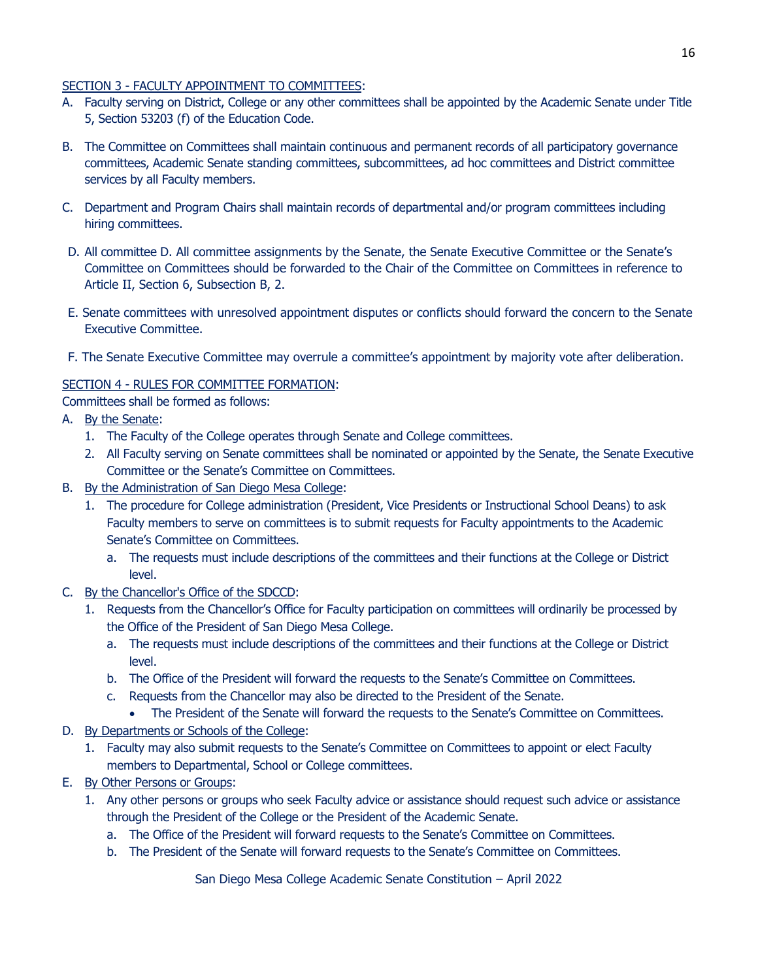### SECTION 3 - FACULTY APPOINTMENT TO COMMITTEES:

- A. Faculty serving on District, College or any other committees shall be appointed by the Academic Senate under Title 5, Section 53203 (f) of the Education Code.
- B. The Committee on Committees shall maintain continuous and permanent records of all participatory governance committees, Academic Senate standing committees, subcommittees, ad hoc committees and District committee services by all Faculty members.
- C. Department and Program Chairs shall maintain records of departmental and/or program committees including hiring committees.
- D. All committee D. All committee assignments by the Senate, the Senate Executive Committee or the Senate's Committee on Committees should be forwarded to the Chair of the Committee on Committees in reference to Article II, Section 6, Subsection B, 2.
- E. Senate committees with unresolved appointment disputes or conflicts should forward the concern to the Senate Executive Committee.
- F. The Senate Executive Committee may overrule a committee's appointment by majority vote after deliberation.

# SECTION 4 - RULES FOR COMMITTEE FORMATION:

Committees shall be formed as follows:

- A. By the Senate:
	- 1. The Faculty of the College operates through Senate and College committees.
	- 2. All Faculty serving on Senate committees shall be nominated or appointed by the Senate, the Senate Executive Committee or the Senate's Committee on Committees.
- B. By the Administration of San Diego Mesa College:
	- 1. The procedure for College administration (President, Vice Presidents or Instructional School Deans) to ask Faculty members to serve on committees is to submit requests for Faculty appointments to the Academic Senate's Committee on Committees.
		- a. The requests must include descriptions of the committees and their functions at the College or District level.
- C. By the Chancellor's Office of the SDCCD:
	- 1. Requests from the Chancellor's Office for Faculty participation on committees will ordinarily be processed by the Office of the President of San Diego Mesa College.
		- a. The requests must include descriptions of the committees and their functions at the College or District level.
		- b. The Office of the President will forward the requests to the Senate's Committee on Committees.
		- c. Requests from the Chancellor may also be directed to the President of the Senate.
		- The President of the Senate will forward the requests to the Senate's Committee on Committees.

# D. By Departments or Schools of the College:

- 1. Faculty may also submit requests to the Senate's Committee on Committees to appoint or elect Faculty members to Departmental, School or College committees.
- E. By Other Persons or Groups:
	- 1. Any other persons or groups who seek Faculty advice or assistance should request such advice or assistance through the President of the College or the President of the Academic Senate.
		- a. The Office of the President will forward requests to the Senate's Committee on Committees.
		- b. The President of the Senate will forward requests to the Senate's Committee on Committees.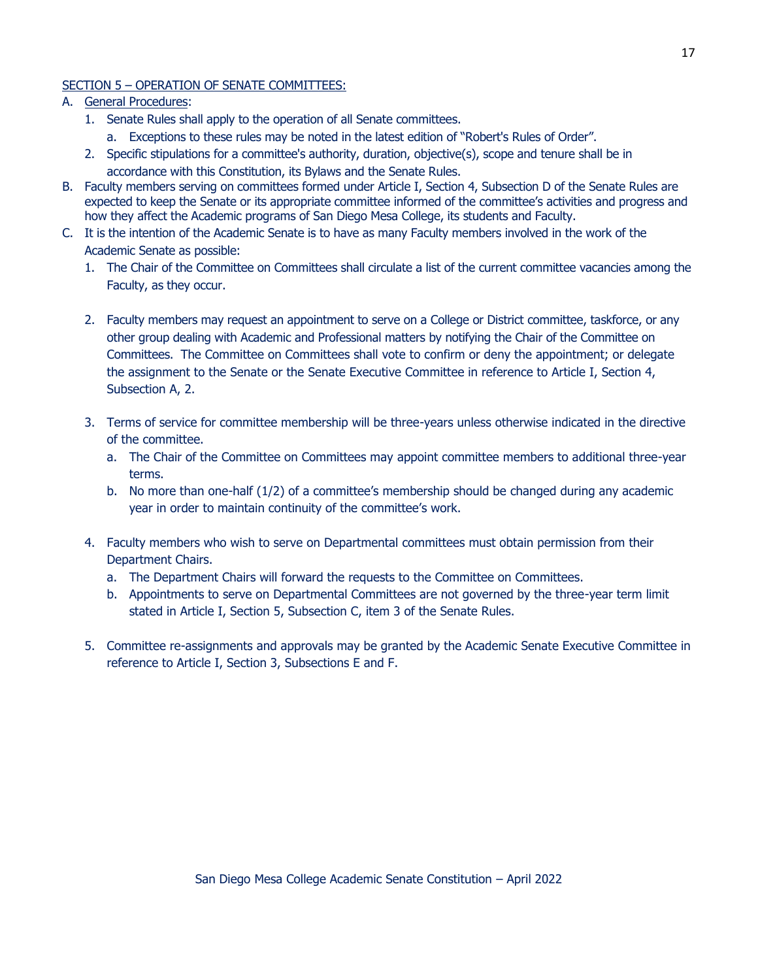### SECTION 5 – OPERATION OF SENATE COMMITTEES:

- A. General Procedures:
	- 1. Senate Rules shall apply to the operation of all Senate committees.
		- a. Exceptions to these rules may be noted in the latest edition of "Robert's Rules of Order".
	- 2. Specific stipulations for a committee's authority, duration, objective(s), scope and tenure shall be in accordance with this Constitution, its Bylaws and the Senate Rules.
- B. Faculty members serving on committees formed under Article I, Section 4, Subsection D of the Senate Rules are expected to keep the Senate or its appropriate committee informed of the committee's activities and progress and how they affect the Academic programs of San Diego Mesa College, its students and Faculty.
- C. It is the intention of the Academic Senate is to have as many Faculty members involved in the work of the Academic Senate as possible:
	- 1. The Chair of the Committee on Committees shall circulate a list of the current committee vacancies among the Faculty, as they occur.
	- 2. Faculty members may request an appointment to serve on a College or District committee, taskforce, or any other group dealing with Academic and Professional matters by notifying the Chair of the Committee on Committees. The Committee on Committees shall vote to confirm or deny the appointment; or delegate the assignment to the Senate or the Senate Executive Committee in reference to Article I, Section 4, Subsection A, 2.
	- 3. Terms of service for committee membership will be three-years unless otherwise indicated in the directive of the committee.
		- a. The Chair of the Committee on Committees may appoint committee members to additional three-year terms.
		- b. No more than one-half (1/2) of a committee's membership should be changed during any academic year in order to maintain continuity of the committee's work.
	- 4. Faculty members who wish to serve on Departmental committees must obtain permission from their Department Chairs.
		- a. The Department Chairs will forward the requests to the Committee on Committees.
		- b. Appointments to serve on Departmental Committees are not governed by the three-year term limit stated in Article I, Section 5, Subsection C, item 3 of the Senate Rules.
	- 5. Committee re-assignments and approvals may be granted by the Academic Senate Executive Committee in reference to Article I, Section 3, Subsections E and F.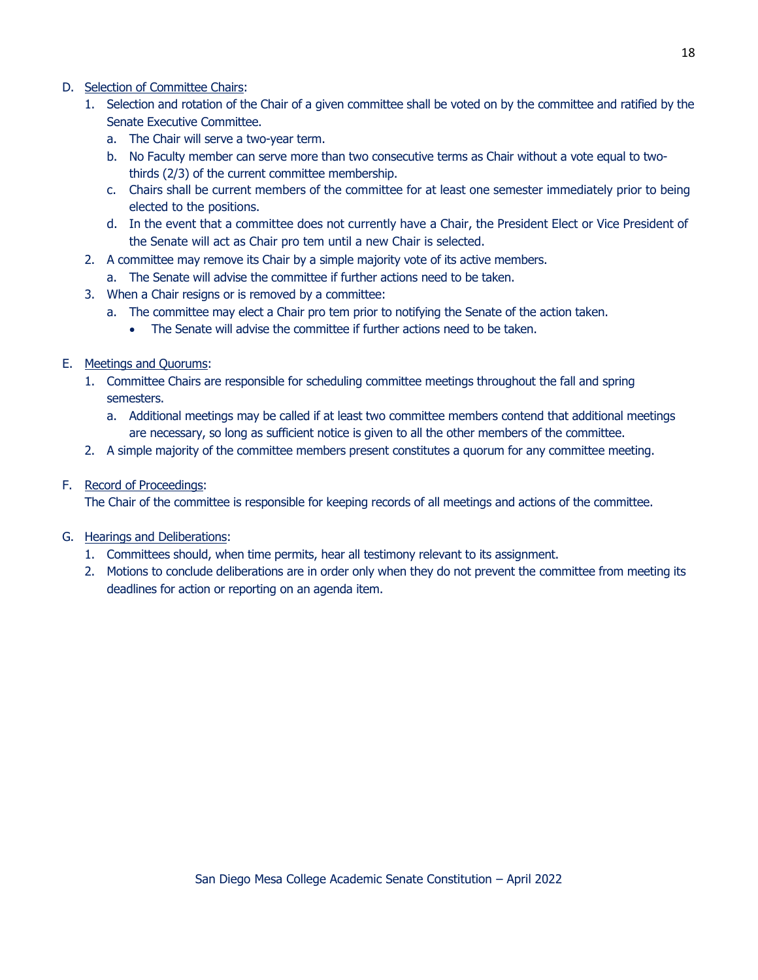# D. Selection of Committee Chairs:

- 1. Selection and rotation of the Chair of a given committee shall be voted on by the committee and ratified by the Senate Executive Committee.
	- a. The Chair will serve a two-year term.
	- b. No Faculty member can serve more than two consecutive terms as Chair without a vote equal to twothirds (2/3) of the current committee membership.
	- c. Chairs shall be current members of the committee for at least one semester immediately prior to being elected to the positions.
	- d. In the event that a committee does not currently have a Chair, the President Elect or Vice President of the Senate will act as Chair pro tem until a new Chair is selected.
- 2. A committee may remove its Chair by a simple majority vote of its active members.
	- a. The Senate will advise the committee if further actions need to be taken.
- 3. When a Chair resigns or is removed by a committee:
	- a. The committee may elect a Chair pro tem prior to notifying the Senate of the action taken.
		- The Senate will advise the committee if further actions need to be taken.
- E. Meetings and Quorums:
	- 1. Committee Chairs are responsible for scheduling committee meetings throughout the fall and spring semesters.
		- a. Additional meetings may be called if at least two committee members contend that additional meetings are necessary, so long as sufficient notice is given to all the other members of the committee.
	- 2. A simple majority of the committee members present constitutes a quorum for any committee meeting.

## F. Record of Proceedings:

The Chair of the committee is responsible for keeping records of all meetings and actions of the committee.

- G. Hearings and Deliberations:
	- 1. Committees should, when time permits, hear all testimony relevant to its assignment.
	- 2. Motions to conclude deliberations are in order only when they do not prevent the committee from meeting its deadlines for action or reporting on an agenda item.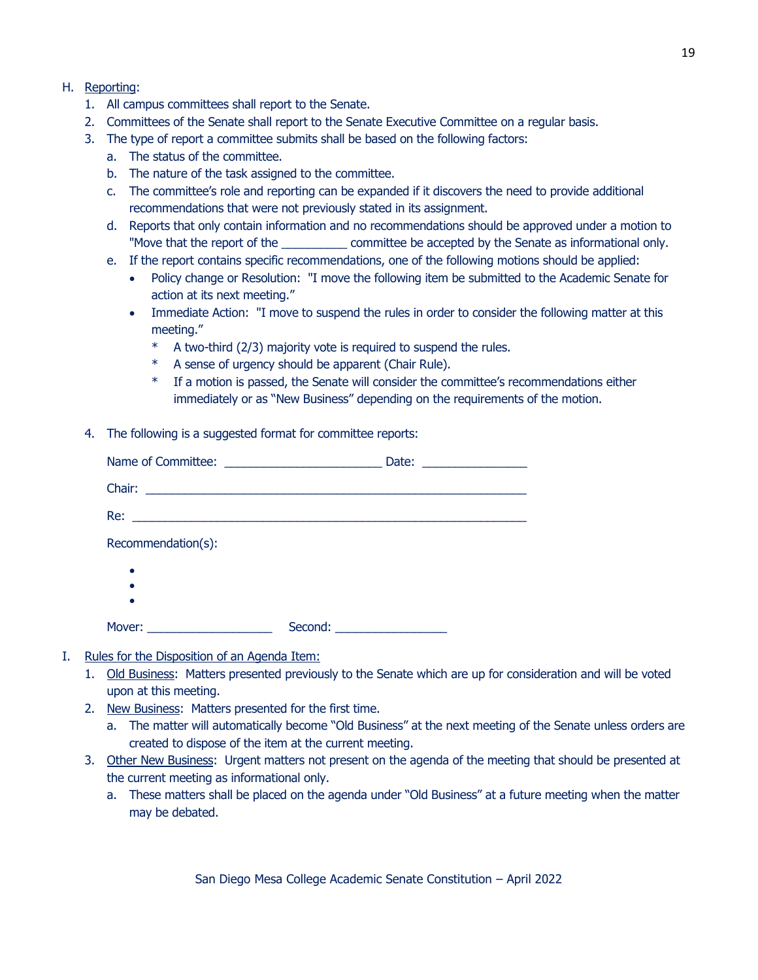## H. Reporting:

- 1. All campus committees shall report to the Senate.
- 2. Committees of the Senate shall report to the Senate Executive Committee on a regular basis.
- 3. The type of report a committee submits shall be based on the following factors:
	- a. The status of the committee.
	- b. The nature of the task assigned to the committee.
	- c. The committee's role and reporting can be expanded if it discovers the need to provide additional recommendations that were not previously stated in its assignment.
	- d. Reports that only contain information and no recommendations should be approved under a motion to "Move that the report of the \_\_\_\_\_\_\_\_\_\_ committee be accepted by the Senate as informational only.
	- e. If the report contains specific recommendations, one of the following motions should be applied:
		- Policy change or Resolution: "I move the following item be submitted to the Academic Senate for action at its next meeting."
		- Immediate Action: "I move to suspend the rules in order to consider the following matter at this meeting."
			- \* A two-third (2/3) majority vote is required to suspend the rules.
			- \* A sense of urgency should be apparent (Chair Rule).
			- \* If a motion is passed, the Senate will consider the committee's recommendations either immediately or as "New Business" depending on the requirements of the motion.
- 4. The following is a suggested format for committee reports:

| Recommendation(s):                                      |         |
|---------------------------------------------------------|---------|
|                                                         |         |
|                                                         |         |
| Mover:<br><u> 1989 - Johann Barn, mars eta bainar e</u> | Second: |

- I. Rules for the Disposition of an Agenda Item:
	- 1. Old Business: Matters presented previously to the Senate which are up for consideration and will be voted upon at this meeting.
	- 2. New Business: Matters presented for the first time.
		- a. The matter will automatically become "Old Business" at the next meeting of the Senate unless orders are created to dispose of the item at the current meeting.
	- 3. Other New Business: Urgent matters not present on the agenda of the meeting that should be presented at the current meeting as informational only.
		- a. These matters shall be placed on the agenda under "Old Business" at a future meeting when the matter may be debated.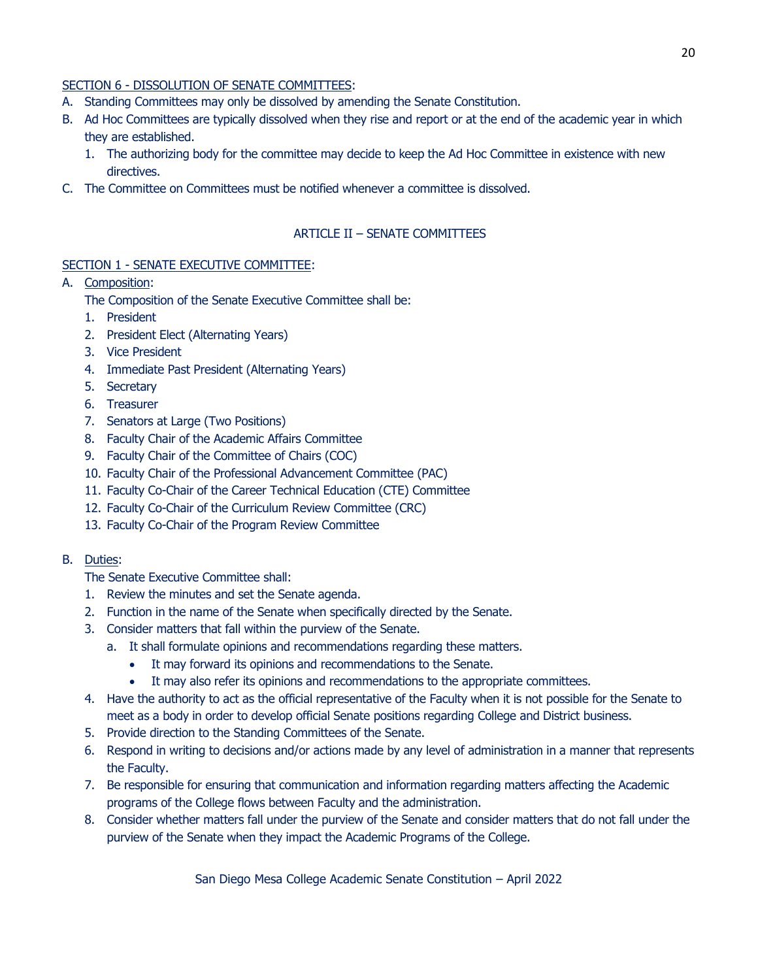### SECTION 6 - DISSOLUTION OF SENATE COMMITTEES:

- A. Standing Committees may only be dissolved by amending the Senate Constitution.
- B. Ad Hoc Committees are typically dissolved when they rise and report or at the end of the academic year in which they are established.
	- 1. The authorizing body for the committee may decide to keep the Ad Hoc Committee in existence with new directives.
- C. The Committee on Committees must be notified whenever a committee is dissolved.

## ARTICLE II – SENATE COMMITTEES

## SECTION 1 - SENATE EXECUTIVE COMMITTEE:

- A. Composition:
	- The Composition of the Senate Executive Committee shall be:
	- 1. President
	- 2. President Elect (Alternating Years)
	- 3. Vice President
	- 4. Immediate Past President (Alternating Years)
	- 5. Secretary
	- 6. Treasurer
	- 7. Senators at Large (Two Positions)
	- 8. Faculty Chair of the Academic Affairs Committee
	- 9. Faculty Chair of the Committee of Chairs (COC)
	- 10. Faculty Chair of the Professional Advancement Committee (PAC)
	- 11. Faculty Co-Chair of the Career Technical Education (CTE) Committee
	- 12. Faculty Co-Chair of the Curriculum Review Committee (CRC)
	- 13. Faculty Co-Chair of the Program Review Committee

### B. Duties:

The Senate Executive Committee shall:

- 1. Review the minutes and set the Senate agenda.
- 2. Function in the name of the Senate when specifically directed by the Senate.
- 3. Consider matters that fall within the purview of the Senate.
	- a. It shall formulate opinions and recommendations regarding these matters.
		- It may forward its opinions and recommendations to the Senate.
		- It may also refer its opinions and recommendations to the appropriate committees.
- 4. Have the authority to act as the official representative of the Faculty when it is not possible for the Senate to meet as a body in order to develop official Senate positions regarding College and District business.
- 5. Provide direction to the Standing Committees of the Senate.
- 6. Respond in writing to decisions and/or actions made by any level of administration in a manner that represents the Faculty.
- 7. Be responsible for ensuring that communication and information regarding matters affecting the Academic programs of the College flows between Faculty and the administration.
- 8. Consider whether matters fall under the purview of the Senate and consider matters that do not fall under the purview of the Senate when they impact the Academic Programs of the College.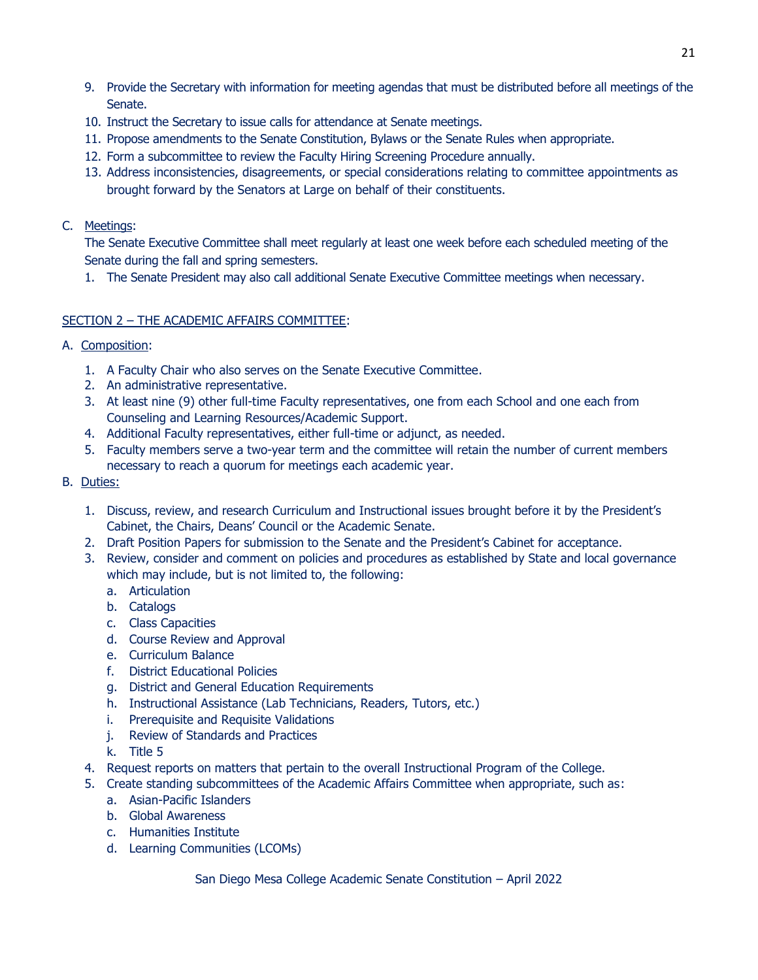- 9. Provide the Secretary with information for meeting agendas that must be distributed before all meetings of the Senate.
- 10. Instruct the Secretary to issue calls for attendance at Senate meetings.
- 11. Propose amendments to the Senate Constitution, Bylaws or the Senate Rules when appropriate.
- 12. Form a subcommittee to review the Faculty Hiring Screening Procedure annually.
- 13. Address inconsistencies, disagreements, or special considerations relating to committee appointments as brought forward by the Senators at Large on behalf of their constituents.

# C. Meetings:

The Senate Executive Committee shall meet regularly at least one week before each scheduled meeting of the Senate during the fall and spring semesters.

1. The Senate President may also call additional Senate Executive Committee meetings when necessary.

# SECTION 2 – THE ACADEMIC AFFAIRS COMMITTEE:

- A. Composition:
	- 1. A Faculty Chair who also serves on the Senate Executive Committee.
	- 2. An administrative representative.
	- 3. At least nine (9) other full-time Faculty representatives, one from each School and one each from Counseling and Learning Resources/Academic Support.
	- 4. Additional Faculty representatives, either full-time or adjunct, as needed.
	- 5. Faculty members serve a two-year term and the committee will retain the number of current members necessary to reach a quorum for meetings each academic year.
- B. Duties:
	- 1. Discuss, review, and research Curriculum and Instructional issues brought before it by the President's Cabinet, the Chairs, Deans' Council or the Academic Senate.
	- 2. Draft Position Papers for submission to the Senate and the President's Cabinet for acceptance.
	- 3. Review, consider and comment on policies and procedures as established by State and local governance which may include, but is not limited to, the following:
		- a. Articulation
		- b. Catalogs
		- c. Class Capacities
		- d. Course Review and Approval
		- e. Curriculum Balance
		- f. District Educational Policies
		- g. District and General Education Requirements
		- h. Instructional Assistance (Lab Technicians, Readers, Tutors, etc.)
		- i. Prerequisite and Requisite Validations
		- j. Review of Standards and Practices
		- k. Title 5
	- 4. Request reports on matters that pertain to the overall Instructional Program of the College.
	- 5. Create standing subcommittees of the Academic Affairs Committee when appropriate, such as:
		- a. Asian-Pacific Islanders
		- b. Global Awareness
		- c. Humanities Institute
		- d. Learning Communities (LCOMs)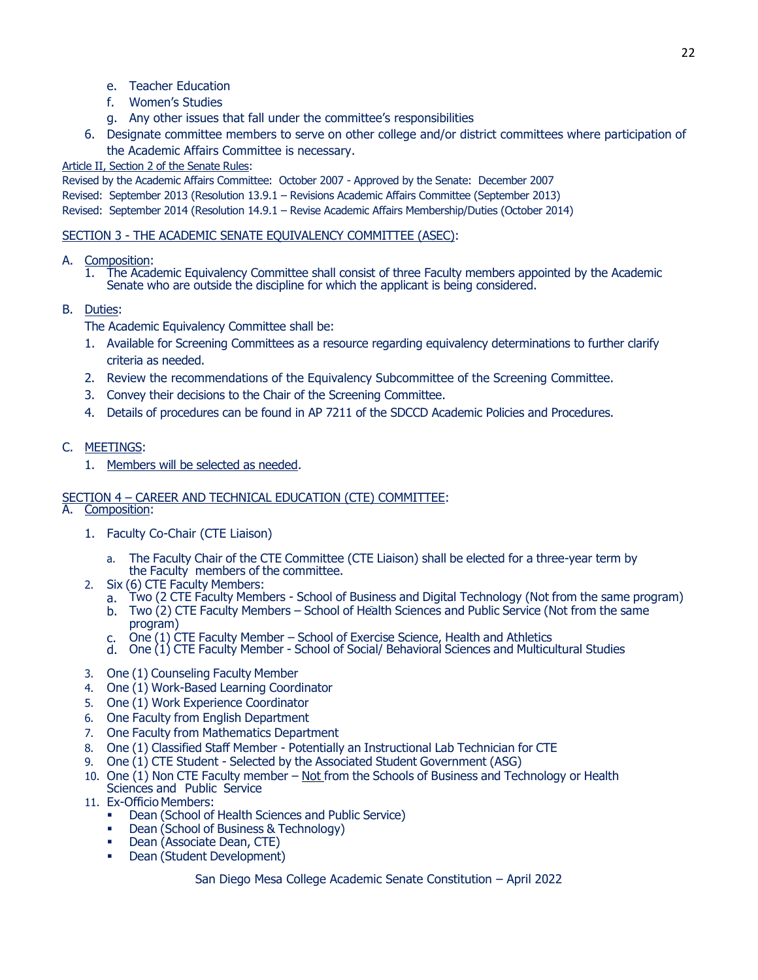- e. Teacher Education
- f. Women's Studies
- g. Any other issues that fall under the committee's responsibilities
- 6. Designate committee members to serve on other college and/or district committees where participation of the Academic Affairs Committee is necessary.

### Article II, Section 2 of the Senate Rules:

Revised by the Academic Affairs Committee: October 2007 - Approved by the Senate: December 2007 Revised: September 2013 (Resolution 13.9.1 – Revisions Academic Affairs Committee (September 2013) Revised: September 2014 (Resolution 14.9.1 – Revise Academic Affairs Membership/Duties (October 2014)

### SECTION 3 - THE ACADEMIC SENATE EQUIVALENCY COMMITTEE (ASEC):

- A. Composition:
	- 1. The Academic Equivalency Committee shall consist of three Faculty members appointed by the Academic Senate who are outside the discipline for which the applicant is being considered.

## B. Duties:

The Academic Equivalency Committee shall be:

- 1. Available for Screening Committees as a resource regarding equivalency determinations to further clarify criteria as needed.
- 2. Review the recommendations of the Equivalency Subcommittee of the Screening Committee.
- 3. Convey their decisions to the Chair of the Screening Committee.
- 4. Details of procedures can be found in AP 7211 of the SDCCD Academic Policies and Procedures.

### C. MEETINGS:

1. Members will be selected as needed.

### SECTION 4 – CAREER AND TECHNICAL EDUCATION (CTE) COMMITTEE:

- A. Composition:
	- 1. Faculty Co-Chair (CTE Liaison)
		- a. The Faculty Chair of the CTE Committee (CTE Liaison) shall be elected for a three-year term by the Faculty members of the committee.
	- 2. Six (6) CTE Faculty Members:
		- a. Two (2 CTE Faculty Members School of Business and Digital Technology (Not from the same program)
		- b. Two (2) CTE Faculty Members School of Health Sciences and Public Service (Not from the same program)
		- c. One (1) CTE Faculty Member School of Exercise Science, Health and Athletics
		- d. One (1) CTE Faculty Member School of Social/ Behavioral Sciences and Multicultural Studies
	- 3. One (1) Counseling Faculty Member
	- 4. One (1) Work-Based Learning Coordinator
	- 5. One (1) Work Experience Coordinator
	- 6. One Faculty from English Department
	- 7. One Faculty from Mathematics Department
	- 8. One (1) Classified Staff Member Potentially an Instructional Lab Technician for CTE
	- 9. One (1) CTE Student Selected by the Associated Student Government (ASG)
	- 10. One  $(1)$  Non CTE Faculty member Not from the Schools of Business and Technology or Health Sciences and Public Service
	- 11. Ex-Officio Members:
		- Dean (School of Health Sciences and Public Service)
		- Dean (School of Business & Technology)
		- **Dean (Associate Dean, CTE)**
		- Dean (Student Development)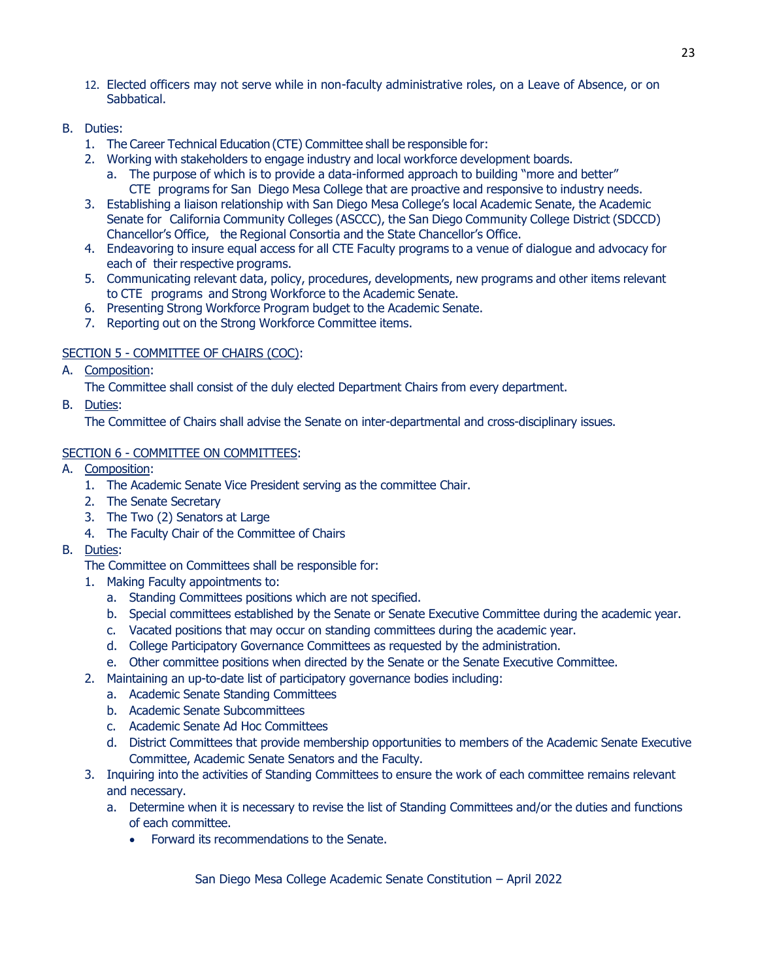12. Elected officers may not serve while in non-faculty administrative roles, on a Leave of Absence, or on Sabbatical.

# B. Duties:

- 1. The Career Technical Education (CTE) Committee shall be responsible for:
- 2. Working with stakeholders to engage industry and local workforce development boards.
	- a. The purpose of which is to provide a data-informed approach to building "more and better" CTE programs for San Diego Mesa College that are proactive and responsive to industry needs.
- 3. Establishing a liaison relationship with San Diego Mesa College's local Academic Senate, the Academic Senate for California Community Colleges (ASCCC), the San Diego Community College District (SDCCD) Chancellor's Office, the Regional Consortia and the State Chancellor's Office.
- 4. Endeavoring to insure equal access for all CTE Faculty programs to a venue of dialogue and advocacy for each of their respective programs.
- 5. Communicating relevant data, policy, procedures, developments, new programs and other items relevant to CTE programs and Strong Workforce to the Academic Senate.
- 6. Presenting Strong Workforce Program budget to the Academic Senate.
- 7. Reporting out on the Strong Workforce Committee items.

# SECTION 5 - COMMITTEE OF CHAIRS (COC):

A. Composition:

The Committee shall consist of the duly elected Department Chairs from every department.

B. Duties:

The Committee of Chairs shall advise the Senate on inter-departmental and cross-disciplinary issues.

# SECTION 6 - COMMITTEE ON COMMITTEES:

- A. Composition:
	- 1. The Academic Senate Vice President serving as the committee Chair.
	- 2. The Senate Secretary
	- 3. The Two (2) Senators at Large
	- 4. The Faculty Chair of the Committee of Chairs
- B. Duties:

The Committee on Committees shall be responsible for:

- 1. Making Faculty appointments to:
	- a. Standing Committees positions which are not specified.
	- b. Special committees established by the Senate or Senate Executive Committee during the academic year.
	- c. Vacated positions that may occur on standing committees during the academic year.
	- d. College Participatory Governance Committees as requested by the administration.
	- e. Other committee positions when directed by the Senate or the Senate Executive Committee.
- 2. Maintaining an up-to-date list of participatory governance bodies including:
	- a. Academic Senate Standing Committees
	- b. Academic Senate Subcommittees
	- c. Academic Senate Ad Hoc Committees
	- d. District Committees that provide membership opportunities to members of the Academic Senate Executive Committee, Academic Senate Senators and the Faculty.
- 3. Inquiring into the activities of Standing Committees to ensure the work of each committee remains relevant and necessary.
	- a. Determine when it is necessary to revise the list of Standing Committees and/or the duties and functions of each committee.
		- Forward its recommendations to the Senate.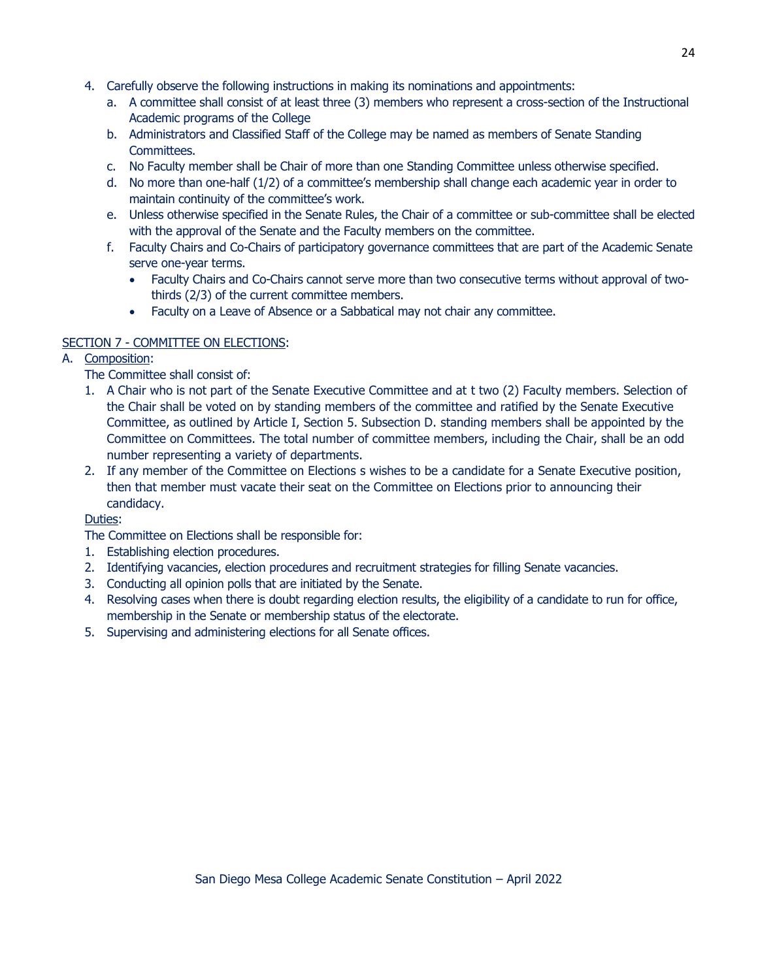- 4. Carefully observe the following instructions in making its nominations and appointments:
	- a. A committee shall consist of at least three (3) members who represent a cross-section of the Instructional Academic programs of the College
	- b. Administrators and Classified Staff of the College may be named as members of Senate Standing Committees.
	- c. No Faculty member shall be Chair of more than one Standing Committee unless otherwise specified.
	- d. No more than one-half (1/2) of a committee's membership shall change each academic year in order to maintain continuity of the committee's work.
	- e. Unless otherwise specified in the Senate Rules, the Chair of a committee or sub-committee shall be elected with the approval of the Senate and the Faculty members on the committee.
	- f. Faculty Chairs and Co-Chairs of participatory governance committees that are part of the Academic Senate serve one-year terms.
		- Faculty Chairs and Co-Chairs cannot serve more than two consecutive terms without approval of twothirds (2/3) of the current committee members.
		- Faculty on a Leave of Absence or a Sabbatical may not chair any committee.

# SECTION 7 - COMMITTEE ON ELECTIONS:

# A. Composition:

The Committee shall consist of:

- 1. A Chair who is not part of the Senate Executive Committee and at t two (2) Faculty members. Selection of the Chair shall be voted on by standing members of the committee and ratified by the Senate Executive Committee, as outlined by Article I, Section 5. Subsection D. standing members shall be appointed by the Committee on Committees. The total number of committee members, including the Chair, shall be an odd number representing a variety of departments.
- 2. If any member of the Committee on Elections s wishes to be a candidate for a Senate Executive position, then that member must vacate their seat on the Committee on Elections prior to announcing their candidacy.

### Duties:

The Committee on Elections shall be responsible for:

- 1. Establishing election procedures.
- 2. Identifying vacancies, election procedures and recruitment strategies for filling Senate vacancies.
- 3. Conducting all opinion polls that are initiated by the Senate.
- 4. Resolving cases when there is doubt regarding election results, the eligibility of a candidate to run for office, membership in the Senate or membership status of the electorate.
- 5. Supervising and administering elections for all Senate offices.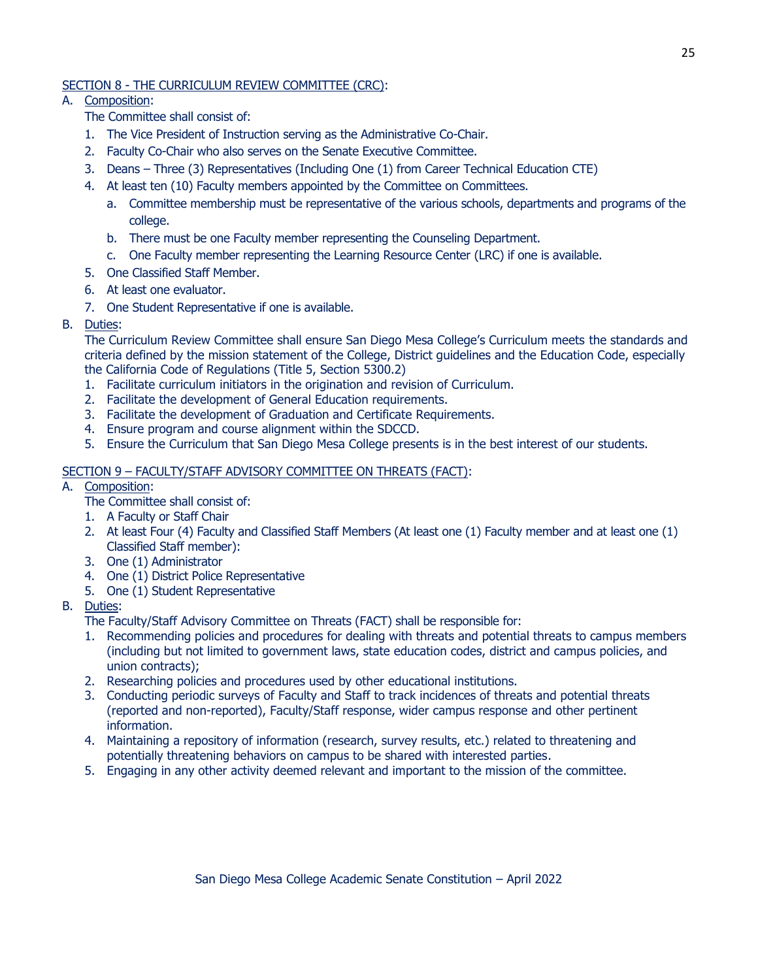## SECTION 8 - THE CURRICULUM REVIEW COMMITTEE (CRC):

- A. Composition:
	- The Committee shall consist of:
	- 1. The Vice President of Instruction serving as the Administrative Co-Chair.
	- 2. Faculty Co-Chair who also serves on the Senate Executive Committee.
	- 3. Deans Three (3) Representatives (Including One (1) from Career Technical Education CTE)
	- 4. At least ten (10) Faculty members appointed by the Committee on Committees.
		- a. Committee membership must be representative of the various schools, departments and programs of the college.
		- b. There must be one Faculty member representing the Counseling Department.
		- c. One Faculty member representing the Learning Resource Center (LRC) if one is available.
	- 5. One Classified Staff Member.
	- 6. At least one evaluator.
	- 7. One Student Representative if one is available.

## B. Duties:

The Curriculum Review Committee shall ensure San Diego Mesa College's Curriculum meets the standards and criteria defined by the mission statement of the College, District guidelines and the Education Code, especially the California Code of Regulations (Title 5, Section 5300.2)

- 1. Facilitate curriculum initiators in the origination and revision of Curriculum.
- 2. Facilitate the development of General Education requirements.
- 3. Facilitate the development of Graduation and Certificate Requirements.
- 4. Ensure program and course alignment within the SDCCD.
- 5. Ensure the Curriculum that San Diego Mesa College presents is in the best interest of our students.

## SECTION 9 – FACULTY/STAFF ADVISORY COMMITTEE ON THREATS (FACT):

### A. Composition:

The Committee shall consist of:

- 1. A Faculty or Staff Chair
- 2. At least Four (4) Faculty and Classified Staff Members (At least one (1) Faculty member and at least one (1) Classified Staff member):
- 3. One (1) Administrator
- 4. One (1) District Police Representative
- 5. One (1) Student Representative

# B. Duties:

The Faculty/Staff Advisory Committee on Threats (FACT) shall be responsible for:

- 1. Recommending policies and procedures for dealing with threats and potential threats to campus members (including but not limited to government laws, state education codes, district and campus policies, and union contracts);
- 2. Researching policies and procedures used by other educational institutions.
- 3. Conducting periodic surveys of Faculty and Staff to track incidences of threats and potential threats (reported and non-reported), Faculty/Staff response, wider campus response and other pertinent information.
- 4. Maintaining a repository of information (research, survey results, etc.) related to threatening and potentially threatening behaviors on campus to be shared with interested parties.
- 5. Engaging in any other activity deemed relevant and important to the mission of the committee.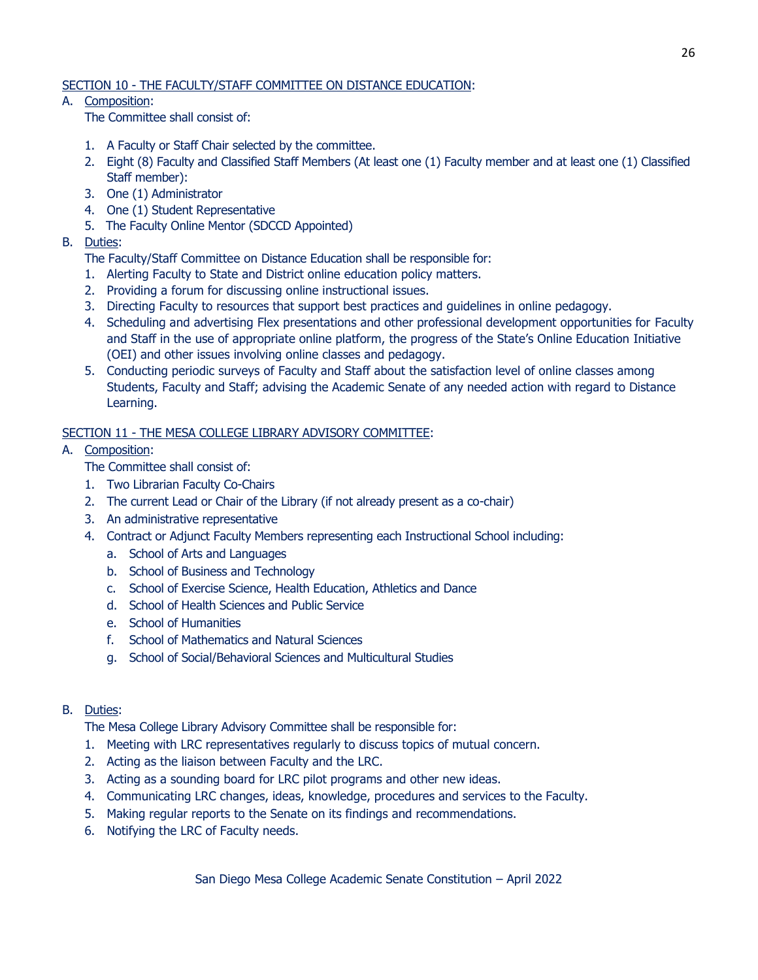## SECTION 10 - THE FACULTY/STAFF COMMITTEE ON DISTANCE EDUCATION:

A. Composition:

The Committee shall consist of:

- 1. A Faculty or Staff Chair selected by the committee.
- 2. Eight (8) Faculty and Classified Staff Members (At least one (1) Faculty member and at least one (1) Classified Staff member):
- 3. One (1) Administrator
- 4. One (1) Student Representative
- 5. The Faculty Online Mentor (SDCCD Appointed)

# B. Duties:

- The Faculty/Staff Committee on Distance Education shall be responsible for:
- 1. Alerting Faculty to State and District online education policy matters.
- 2. Providing a forum for discussing online instructional issues.
- 3. Directing Faculty to resources that support best practices and guidelines in online pedagogy.
- 4. Scheduling and advertising Flex presentations and other professional development opportunities for Faculty and Staff in the use of appropriate online platform, the progress of the State's Online Education Initiative (OEI) and other issues involving online classes and pedagogy.
- 5. Conducting periodic surveys of Faculty and Staff about the satisfaction level of online classes among Students, Faculty and Staff; advising the Academic Senate of any needed action with regard to Distance Learning.

# SECTION 11 - THE MESA COLLEGE LIBRARY ADVISORY COMMITTEE:

- A. Composition:
	- The Committee shall consist of:
	- 1. Two Librarian Faculty Co-Chairs
	- 2. The current Lead or Chair of the Library (if not already present as a co-chair)
	- 3. An administrative representative
	- 4. Contract or Adjunct Faculty Members representing each Instructional School including:
		- a. School of Arts and Languages
		- b. School of Business and Technology
		- c. School of Exercise Science, Health Education, Athletics and Dance
		- d. School of Health Sciences and Public Service
		- e. School of Humanities
		- f. School of Mathematics and Natural Sciences
		- g. School of Social/Behavioral Sciences and Multicultural Studies

# B. Duties:

The Mesa College Library Advisory Committee shall be responsible for:

- 1. Meeting with LRC representatives regularly to discuss topics of mutual concern.
- 2. Acting as the liaison between Faculty and the LRC.
- 3. Acting as a sounding board for LRC pilot programs and other new ideas.
- 4. Communicating LRC changes, ideas, knowledge, procedures and services to the Faculty.
- 5. Making regular reports to the Senate on its findings and recommendations.
- 6. Notifying the LRC of Faculty needs.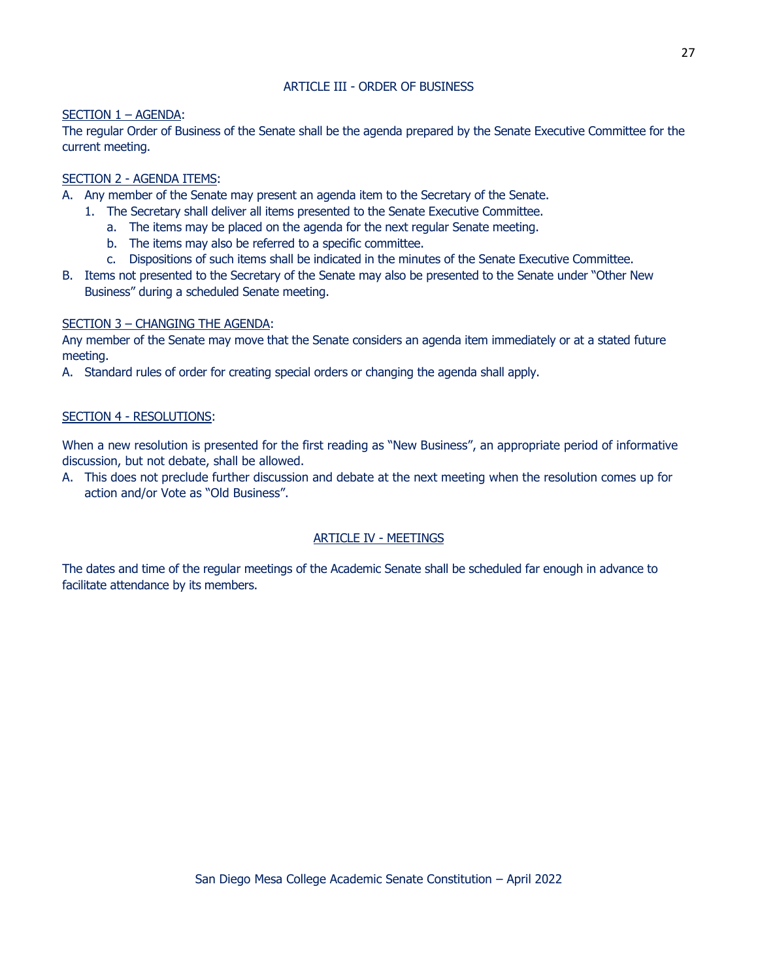### ARTICLE III - ORDER OF BUSINESS

#### SECTION 1 – AGENDA:

The regular Order of Business of the Senate shall be the agenda prepared by the Senate Executive Committee for the current meeting.

### SECTION 2 - AGENDA ITEMS:

- A. Any member of the Senate may present an agenda item to the Secretary of the Senate.
	- 1. The Secretary shall deliver all items presented to the Senate Executive Committee.
		- a. The items may be placed on the agenda for the next regular Senate meeting.
		- b. The items may also be referred to a specific committee.
		- c. Dispositions of such items shall be indicated in the minutes of the Senate Executive Committee.
- B. Items not presented to the Secretary of the Senate may also be presented to the Senate under "Other New Business" during a scheduled Senate meeting.

#### SECTION 3 – CHANGING THE AGENDA:

Any member of the Senate may move that the Senate considers an agenda item immediately or at a stated future meeting.

A. Standard rules of order for creating special orders or changing the agenda shall apply.

#### SECTION 4 - RESOLUTIONS:

When a new resolution is presented for the first reading as "New Business", an appropriate period of informative discussion, but not debate, shall be allowed.

A. This does not preclude further discussion and debate at the next meeting when the resolution comes up for action and/or Vote as "Old Business".

#### ARTICLE IV - MEETINGS

The dates and time of the regular meetings of the Academic Senate shall be scheduled far enough in advance to facilitate attendance by its members.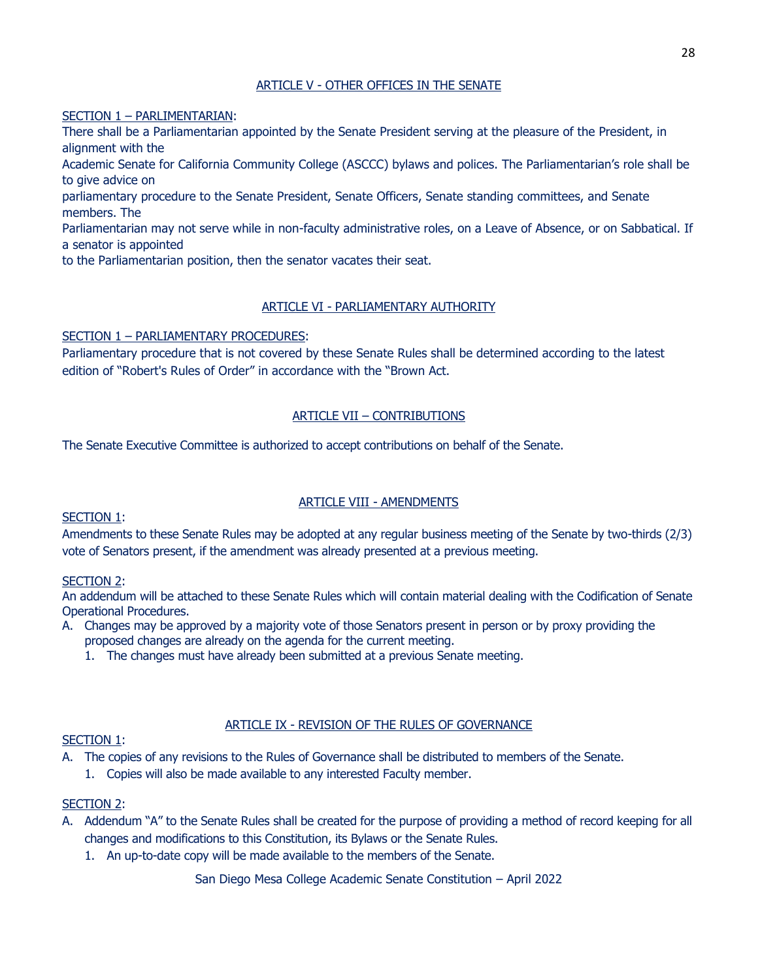### ARTICLE V - OTHER OFFICES IN THE SENATE

#### SECTION 1 – PARLIMENTARIAN:

There shall be a Parliamentarian appointed by the Senate President serving at the pleasure of the President, in alignment with the

Academic Senate for California Community College (ASCCC) bylaws and polices. The Parliamentarian's role shall be to give advice on

parliamentary procedure to the Senate President, Senate Officers, Senate standing committees, and Senate members. The

Parliamentarian may not serve while in non-faculty administrative roles, on a Leave of Absence, or on Sabbatical. If a senator is appointed

to the Parliamentarian position, then the senator vacates their seat.

### ARTICLE VI - PARLIAMENTARY AUTHORITY

#### SECTION 1 – PARLIAMENTARY PROCEDURES:

Parliamentary procedure that is not covered by these Senate Rules shall be determined according to the latest edition of "Robert's Rules of Order" in accordance with the "Brown Act.

### ARTICLE VII – CONTRIBUTIONS

The Senate Executive Committee is authorized to accept contributions on behalf of the Senate.

### ARTICLE VIII - AMENDMENTS

### SECTION 1:

Amendments to these Senate Rules may be adopted at any regular business meeting of the Senate by two-thirds (2/3) vote of Senators present, if the amendment was already presented at a previous meeting.

### SECTION 2:

An addendum will be attached to these Senate Rules which will contain material dealing with the Codification of Senate Operational Procedures.

- A. Changes may be approved by a majority vote of those Senators present in person or by proxy providing the proposed changes are already on the agenda for the current meeting.
	- 1. The changes must have already been submitted at a previous Senate meeting.

# ARTICLE IX - REVISION OF THE RULES OF GOVERNANCE

# **SECTION 1:**

A. The copies of any revisions to the Rules of Governance shall be distributed to members of the Senate.

1. Copies will also be made available to any interested Faculty member.

### SECTION 2:

- A. Addendum "A" to the Senate Rules shall be created for the purpose of providing a method of record keeping for all changes and modifications to this Constitution, its Bylaws or the Senate Rules.
	- 1. An up-to-date copy will be made available to the members of the Senate.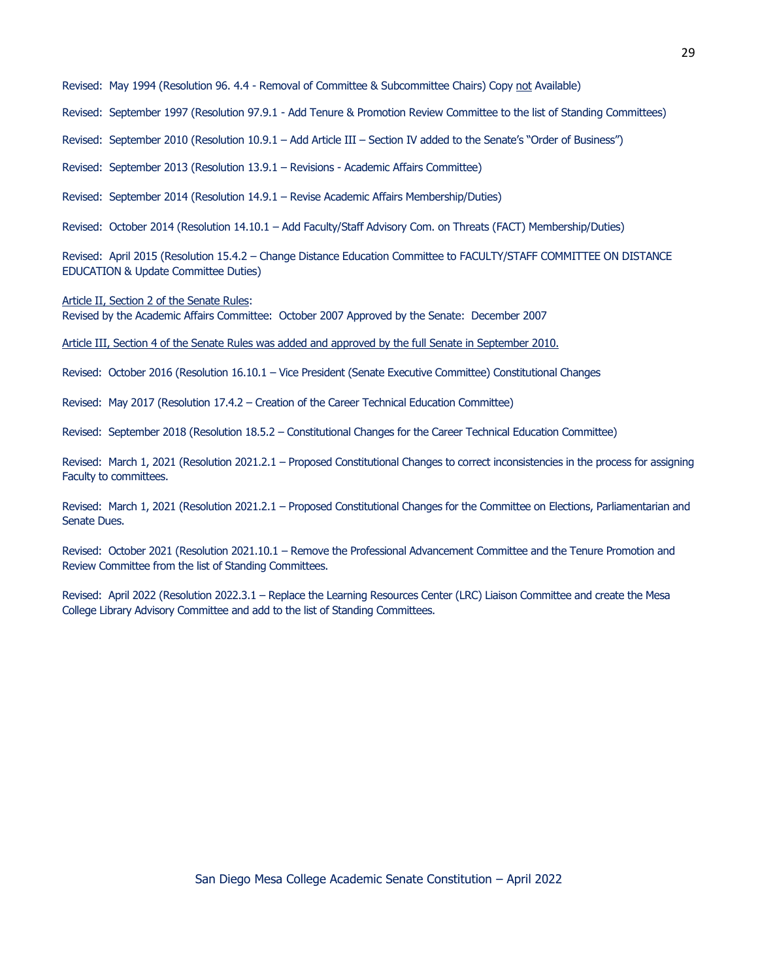Revised: May 1994 (Resolution 96. 4.4 - Removal of Committee & Subcommittee Chairs) Copy not Available)

Revised: September 1997 (Resolution 97.9.1 - Add Tenure & Promotion Review Committee to the list of Standing Committees)

Revised: September 2010 (Resolution 10.9.1 – Add Article III – Section IV added to the Senate's "Order of Business")

Revised: September 2013 (Resolution 13.9.1 – Revisions - Academic Affairs Committee)

Revised: September 2014 (Resolution 14.9.1 – Revise Academic Affairs Membership/Duties)

Revised: October 2014 (Resolution 14.10.1 – Add Faculty/Staff Advisory Com. on Threats (FACT) Membership/Duties)

Revised: April 2015 (Resolution 15.4.2 – Change Distance Education Committee to FACULTY/STAFF COMMITTEE ON DISTANCE EDUCATION & Update Committee Duties)

Article II, Section 2 of the Senate Rules:

Revised by the Academic Affairs Committee: October 2007 Approved by the Senate: December 2007

Article III, Section 4 of the Senate Rules was added and approved by the full Senate in September 2010.

Revised: October 2016 (Resolution 16.10.1 – Vice President (Senate Executive Committee) Constitutional Changes

Revised: May 2017 (Resolution 17.4.2 – Creation of the Career Technical Education Committee)

Revised: September 2018 (Resolution 18.5.2 – Constitutional Changes for the Career Technical Education Committee)

Revised: March 1, 2021 (Resolution 2021.2.1 – Proposed Constitutional Changes to correct inconsistencies in the process for assigning Faculty to committees.

Revised: March 1, 2021 (Resolution 2021.2.1 – Proposed Constitutional Changes for the Committee on Elections, Parliamentarian and Senate Dues.

Revised: October 2021 (Resolution 2021.10.1 – Remove the Professional Advancement Committee and the Tenure Promotion and Review Committee from the list of Standing Committees.

Revised: April 2022 (Resolution 2022.3.1 – Replace the Learning Resources Center (LRC) Liaison Committee and create the Mesa College Library Advisory Committee and add to the list of Standing Committees.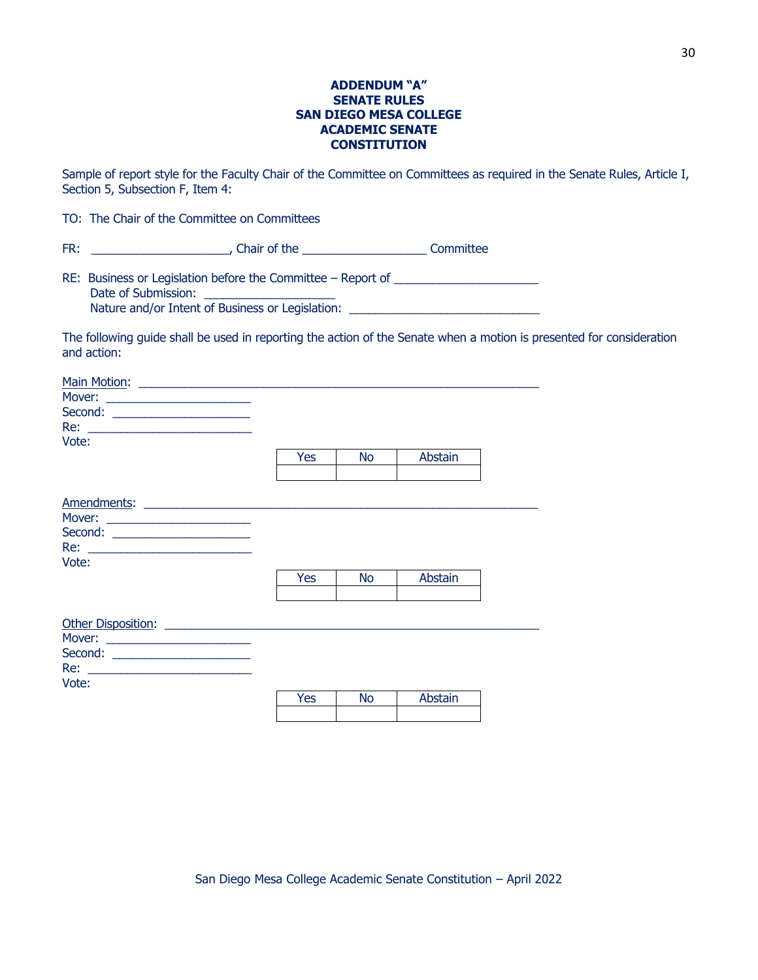#### **ADDENDUM "A" SENATE RULES SAN DIEGO MESA COLLEGE ACADEMIC SENATE CONSTITUTION**

Sample of report style for the Faculty Chair of the Committee on Committees as required in the Senate Rules, Article I, Section 5, Subsection F, Item 4:

TO: The Chair of the Committee on Committees

FR: \_\_\_\_\_\_\_\_\_\_\_\_\_\_\_\_\_\_\_\_\_, Chair of the \_\_\_\_\_\_\_\_\_\_\_\_\_\_\_\_\_\_\_ Committee

| RE: Business or Legislation before the Committee $-$ Report of |  |
|----------------------------------------------------------------|--|
| Date of Submission:                                            |  |
| Nature and/or Intent of Business or Legislation:               |  |

The following guide shall be used in reporting the action of the Senate when a motion is presented for consideration and action:

| Second: ________________________ |                             |  |
|----------------------------------|-----------------------------|--|
|                                  |                             |  |
| Vote:                            |                             |  |
|                                  | No<br>Yes<br>Abstain        |  |
|                                  |                             |  |
|                                  |                             |  |
|                                  |                             |  |
| Second: ________________________ |                             |  |
|                                  |                             |  |
| Vote:                            |                             |  |
|                                  | <b>Abstain</b><br>Yes<br>No |  |
|                                  |                             |  |
|                                  |                             |  |
|                                  |                             |  |
| Second: ________________________ |                             |  |
|                                  |                             |  |
| Vote:                            |                             |  |
|                                  | No<br>Abstain<br>Yes        |  |